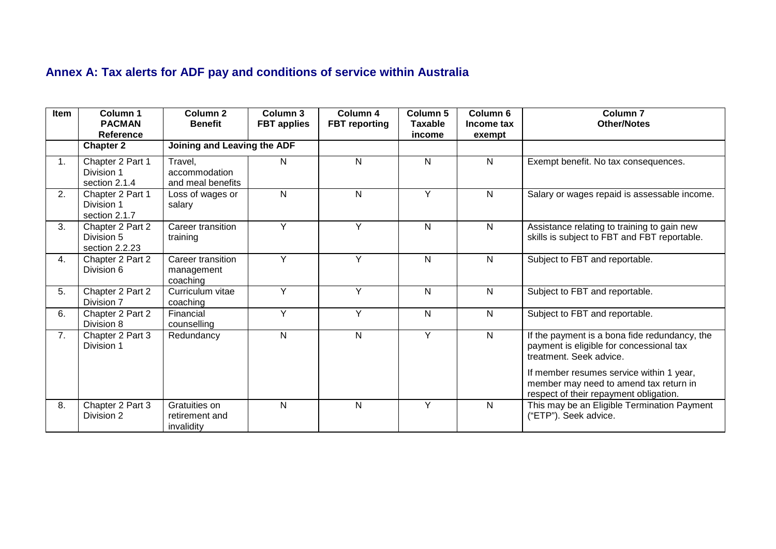## **Annex A: Tax alerts for ADF pay and conditions of service within Australia**

| Item | Column 1<br><b>PACMAN</b>                        | <b>Column 2</b><br><b>Benefit</b>             | Column 3<br><b>FBT</b> applies | Column 4<br><b>FBT</b> reporting | Column 5<br><b>Taxable</b> | Column <sub>6</sub><br>Income tax | <b>Column 7</b><br><b>Other/Notes</b>                                                                                        |
|------|--------------------------------------------------|-----------------------------------------------|--------------------------------|----------------------------------|----------------------------|-----------------------------------|------------------------------------------------------------------------------------------------------------------------------|
|      | Reference                                        |                                               |                                |                                  | income                     | exempt                            |                                                                                                                              |
|      | <b>Chapter 2</b>                                 |                                               | Joining and Leaving the ADF    |                                  |                            |                                   |                                                                                                                              |
| 1.   | Chapter 2 Part 1<br>Division 1<br>section 2.1.4  | Travel,<br>accommodation<br>and meal benefits | N                              | N                                | N                          | N                                 | Exempt benefit. No tax consequences.                                                                                         |
| 2.   | Chapter 2 Part 1<br>Division 1<br>section 2.1.7  | Loss of wages or<br>salary                    | N                              | $\mathsf{N}$                     | Y                          | Ν                                 | Salary or wages repaid is assessable income.                                                                                 |
| 3.   | Chapter 2 Part 2<br>Division 5<br>section 2.2.23 | Career transition<br>training                 | Y                              | Y                                | N                          | N                                 | Assistance relating to training to gain new<br>skills is subject to FBT and FBT reportable.                                  |
| 4.   | Chapter 2 Part 2<br>Division 6                   | Career transition<br>management<br>coaching   | Y                              | Y                                | N                          | N                                 | Subject to FBT and reportable.                                                                                               |
| 5.   | Chapter 2 Part 2<br>Division 7                   | Curriculum vitae<br>coaching                  | Y                              | Y                                | N                          | N                                 | Subject to FBT and reportable.                                                                                               |
| 6.   | Chapter 2 Part 2<br>Division 8                   | Financial<br>counselling                      | Y                              | Y                                | N                          | Ν                                 | Subject to FBT and reportable.                                                                                               |
| 7.   | Chapter 2 Part 3<br>Division 1                   | Redundancy                                    | N                              | $\mathsf{N}$                     | Y                          | N                                 | If the payment is a bona fide redundancy, the<br>payment is eligible for concessional tax<br>treatment. Seek advice.         |
|      |                                                  |                                               |                                |                                  |                            |                                   | If member resumes service within 1 year,<br>member may need to amend tax return in<br>respect of their repayment obligation. |
| 8.   | Chapter 2 Part 3<br>Division 2                   | Gratuities on<br>retirement and<br>invalidity | N                              | N                                | Y                          | N                                 | This may be an Eligible Termination Payment<br>("ETP"). Seek advice.                                                         |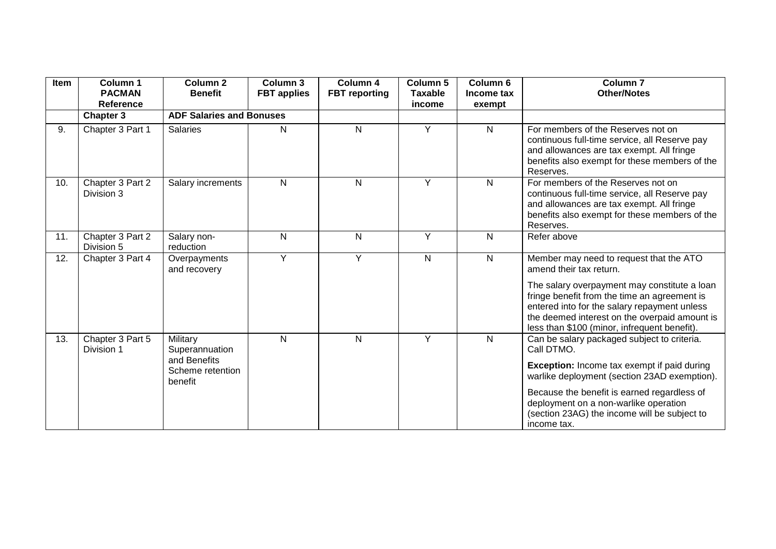| Item | Column 1<br><b>PACMAN</b><br>Reference | Column <sub>2</sub><br><b>Benefit</b>                                     | Column 3<br><b>FBT</b> applies | Column 4<br><b>FBT</b> reporting | Column 5<br><b>Taxable</b><br>income | Column <sub>6</sub><br>Income tax<br>exempt | Column <sub>7</sub><br><b>Other/Notes</b>                                                                                                                                                                                                                                                                              |
|------|----------------------------------------|---------------------------------------------------------------------------|--------------------------------|----------------------------------|--------------------------------------|---------------------------------------------|------------------------------------------------------------------------------------------------------------------------------------------------------------------------------------------------------------------------------------------------------------------------------------------------------------------------|
|      | <b>Chapter 3</b>                       | <b>ADF Salaries and Bonuses</b>                                           |                                |                                  |                                      |                                             |                                                                                                                                                                                                                                                                                                                        |
| 9.   | Chapter 3 Part 1                       | <b>Salaries</b>                                                           | N                              | N                                | Y                                    | N                                           | For members of the Reserves not on<br>continuous full-time service, all Reserve pay<br>and allowances are tax exempt. All fringe<br>benefits also exempt for these members of the<br>Reserves.                                                                                                                         |
| 10.  | Chapter 3 Part 2<br>Division 3         | Salary increments                                                         | N                              | N                                | Y                                    | N                                           | For members of the Reserves not on<br>continuous full-time service, all Reserve pay<br>and allowances are tax exempt. All fringe<br>benefits also exempt for these members of the<br>Reserves.                                                                                                                         |
| 11.  | Chapter 3 Part 2<br>Division 5         | Salary non-<br>reduction                                                  | N                              | N                                | Y                                    | N                                           | Refer above                                                                                                                                                                                                                                                                                                            |
| 12.  | Chapter 3 Part 4                       | Overpayments<br>and recovery                                              | Y                              | Y                                | $\mathsf{N}$                         | $\mathsf{N}$                                | Member may need to request that the ATO<br>amend their tax return.<br>The salary overpayment may constitute a loan<br>fringe benefit from the time an agreement is<br>entered into for the salary repayment unless<br>the deemed interest on the overpaid amount is<br>less than \$100 (minor, infrequent benefit).    |
| 13.  | Chapter 3 Part 5<br>Division 1         | Military<br>Superannuation<br>and Benefits<br>Scheme retention<br>benefit | N                              | N                                | Y                                    | N                                           | Can be salary packaged subject to criteria.<br>Call DTMO.<br><b>Exception:</b> Income tax exempt if paid during<br>warlike deployment (section 23AD exemption).<br>Because the benefit is earned regardless of<br>deployment on a non-warlike operation<br>(section 23AG) the income will be subject to<br>income tax. |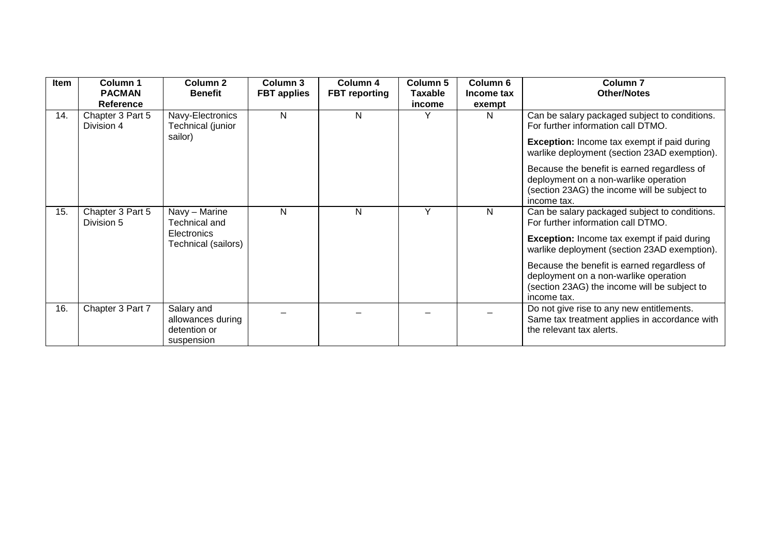| Item | Column 1<br><b>PACMAN</b><br><b>Reference</b> | Column 2<br><b>Benefit</b>                                                  | Column 3<br><b>FBT</b> applies | Column 4<br><b>FBT</b> reporting | Column <sub>5</sub><br><b>Taxable</b><br>income | Column 6<br>Income tax<br>exempt | Column <sub>7</sub><br><b>Other/Notes</b>                                                                                                                                                                                                                                                                                                        |
|------|-----------------------------------------------|-----------------------------------------------------------------------------|--------------------------------|----------------------------------|-------------------------------------------------|----------------------------------|--------------------------------------------------------------------------------------------------------------------------------------------------------------------------------------------------------------------------------------------------------------------------------------------------------------------------------------------------|
| 14.  | Chapter 3 Part 5<br>Division 4                | Navy-Electronics<br>Technical (junior<br>sailor)                            | N                              | N                                | Υ                                               | N                                | Can be salary packaged subject to conditions.<br>For further information call DTMO.<br><b>Exception:</b> Income tax exempt if paid during<br>warlike deployment (section 23AD exemption).<br>Because the benefit is earned regardless of<br>deployment on a non-warlike operation<br>(section 23AG) the income will be subject to<br>income tax. |
| 15.  | Chapter 3 Part 5<br>Division 5                | Navy - Marine<br>Technical and<br><b>Electronics</b><br>Technical (sailors) | N                              | N                                | Y                                               | N                                | Can be salary packaged subject to conditions.<br>For further information call DTMO.<br><b>Exception:</b> Income tax exempt if paid during<br>warlike deployment (section 23AD exemption).<br>Because the benefit is earned regardless of<br>deployment on a non-warlike operation<br>(section 23AG) the income will be subject to<br>income tax. |
| 16.  | Chapter 3 Part 7                              | Salary and<br>allowances during<br>detention or<br>suspension               |                                |                                  |                                                 |                                  | Do not give rise to any new entitlements.<br>Same tax treatment applies in accordance with<br>the relevant tax alerts.                                                                                                                                                                                                                           |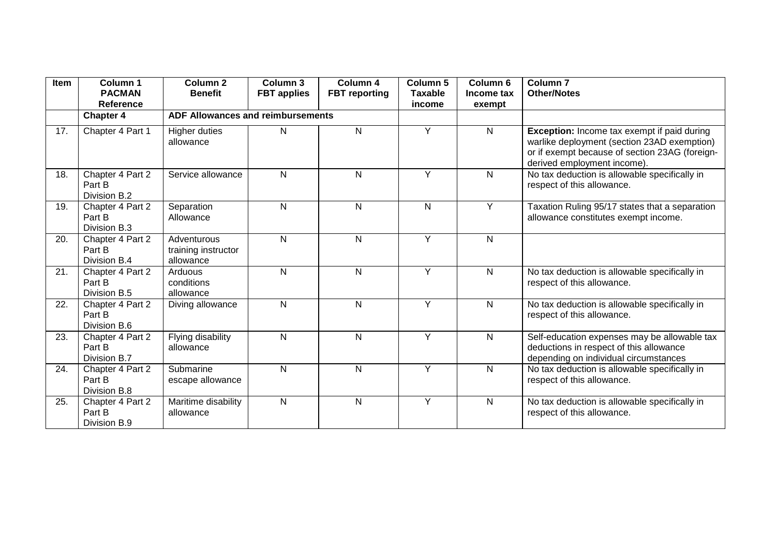| Item | Column 1<br><b>PACMAN</b><br>Reference     | Column <sub>2</sub><br><b>Benefit</b>           | Column 3<br><b>FBT</b> applies | Column 4<br><b>FBT</b> reporting | Column 5<br><b>Taxable</b><br>income | Column <sub>6</sub><br>Income tax<br>exempt | Column <sub>7</sub><br><b>Other/Notes</b>                                                                                                                                          |
|------|--------------------------------------------|-------------------------------------------------|--------------------------------|----------------------------------|--------------------------------------|---------------------------------------------|------------------------------------------------------------------------------------------------------------------------------------------------------------------------------------|
|      | <b>Chapter 4</b>                           | <b>ADF Allowances and reimbursements</b>        |                                |                                  |                                      |                                             |                                                                                                                                                                                    |
| 17.  | Chapter 4 Part 1                           | <b>Higher duties</b><br>allowance               | N                              | N                                | Y                                    | N                                           | <b>Exception:</b> Income tax exempt if paid during<br>warlike deployment (section 23AD exemption)<br>or if exempt because of section 23AG (foreign-<br>derived employment income). |
| 18.  | Chapter 4 Part 2<br>Part B<br>Division B.2 | Service allowance                               | N                              | N                                | $\overline{Y}$                       | $\mathsf{N}$                                | No tax deduction is allowable specifically in<br>respect of this allowance.                                                                                                        |
| 19.  | Chapter 4 Part 2<br>Part B<br>Division B.3 | Separation<br>Allowance                         | N                              | N                                | $\mathsf{N}$                         | Y                                           | Taxation Ruling 95/17 states that a separation<br>allowance constitutes exempt income.                                                                                             |
| 20.  | Chapter 4 Part 2<br>Part B<br>Division B.4 | Adventurous<br>training instructor<br>allowance | N                              | N                                | Y                                    | N                                           |                                                                                                                                                                                    |
| 21.  | Chapter 4 Part 2<br>Part B<br>Division B.5 | Arduous<br>conditions<br>allowance              | N                              | N                                | Y                                    | $\mathsf{N}$                                | No tax deduction is allowable specifically in<br>respect of this allowance.                                                                                                        |
| 22.  | Chapter 4 Part 2<br>Part B<br>Division B.6 | Diving allowance                                | N                              | N                                | Y                                    | $\mathsf{N}$                                | No tax deduction is allowable specifically in<br>respect of this allowance.                                                                                                        |
| 23.  | Chapter 4 Part 2<br>Part B<br>Division B.7 | Flying disability<br>allowance                  | N                              | N                                | Y                                    | $\mathsf{N}$                                | Self-education expenses may be allowable tax<br>deductions in respect of this allowance<br>depending on individual circumstances                                                   |
| 24.  | Chapter 4 Part 2<br>Part B<br>Division B.8 | Submarine<br>escape allowance                   | N                              | N                                | Y                                    | $\mathsf{N}$                                | No tax deduction is allowable specifically in<br>respect of this allowance.                                                                                                        |
| 25.  | Chapter 4 Part 2<br>Part B<br>Division B.9 | Maritime disability<br>allowance                | $\mathsf{N}$                   | N                                | Ÿ                                    | $\overline{N}$                              | No tax deduction is allowable specifically in<br>respect of this allowance.                                                                                                        |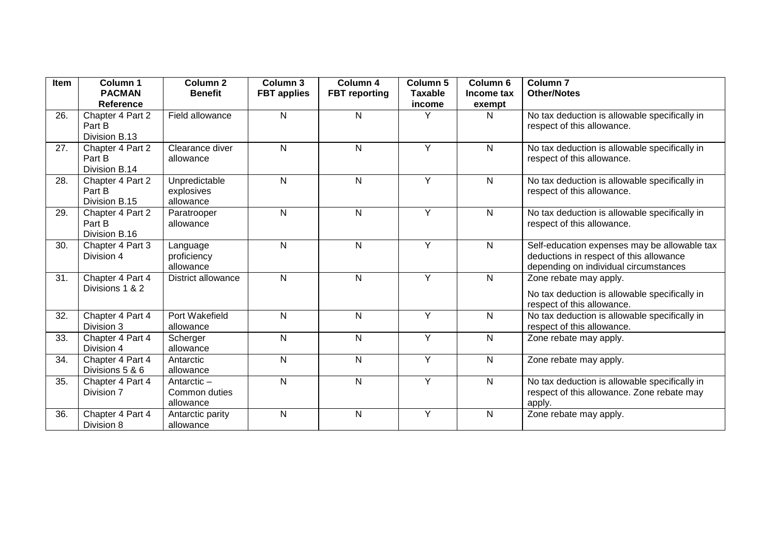| Item | Column 1<br><b>PACMAN</b>                   | Column <sub>2</sub><br><b>Benefit</b>    | Column 3<br><b>FBT</b> applies | Column 4<br><b>FBT</b> reporting | Column 5<br><b>Taxable</b> | Column 6<br>Income tax | Column <sub>7</sub><br><b>Other/Notes</b>                                                                                        |
|------|---------------------------------------------|------------------------------------------|--------------------------------|----------------------------------|----------------------------|------------------------|----------------------------------------------------------------------------------------------------------------------------------|
|      | Reference                                   |                                          |                                |                                  | income                     | exempt                 |                                                                                                                                  |
| 26.  | Chapter 4 Part 2<br>Part B<br>Division B.13 | Field allowance                          | $\mathsf{N}$                   | N                                | Υ                          | $\mathsf{N}$           | No tax deduction is allowable specifically in<br>respect of this allowance.                                                      |
| 27.  | Chapter 4 Part 2<br>Part B<br>Division B.14 | Clearance diver<br>allowance             | $\mathsf{N}$                   | N                                | Y                          | $\mathsf{N}$           | No tax deduction is allowable specifically in<br>respect of this allowance.                                                      |
| 28.  | Chapter 4 Part 2<br>Part B<br>Division B.15 | Unpredictable<br>explosives<br>allowance | $\mathsf{N}$                   | N                                | Y                          | $\mathsf{N}$           | No tax deduction is allowable specifically in<br>respect of this allowance.                                                      |
| 29.  | Chapter 4 Part 2<br>Part B<br>Division B.16 | Paratrooper<br>allowance                 | N                              | N                                | Y                          | $\mathsf{N}$           | No tax deduction is allowable specifically in<br>respect of this allowance.                                                      |
| 30.  | Chapter 4 Part 3<br>Division 4              | Language<br>proficiency<br>allowance     | N                              | N                                | Y                          | $\mathsf{N}$           | Self-education expenses may be allowable tax<br>deductions in respect of this allowance<br>depending on individual circumstances |
| 31.  | Chapter 4 Part 4<br>Divisions 1 & 2         | District allowance                       | N                              | N                                | Y                          | $\mathsf{N}$           | Zone rebate may apply.<br>No tax deduction is allowable specifically in<br>respect of this allowance.                            |
| 32.  | Chapter 4 Part 4<br>Division 3              | Port Wakefield<br>allowance              | N                              | N                                | Y                          | $\mathsf{N}$           | No tax deduction is allowable specifically in<br>respect of this allowance.                                                      |
| 33.  | Chapter 4 Part 4<br>Division 4              | Scherger<br>allowance                    | $\mathsf{N}$                   | N                                | $\overline{Y}$             | $\mathsf{N}$           | Zone rebate may apply.                                                                                                           |
| 34.  | Chapter 4 Part 4<br>Divisions 5 & 6         | Antarctic<br>allowance                   | $\mathsf{N}$                   | N                                | Y                          | $\mathsf{N}$           | Zone rebate may apply.                                                                                                           |
| 35.  | Chapter 4 Part 4<br>Division 7              | Antarctic-<br>Common duties<br>allowance | N                              | N                                | Y                          | $\mathsf{N}$           | No tax deduction is allowable specifically in<br>respect of this allowance. Zone rebate may<br>apply.                            |
| 36.  | Chapter 4 Part 4<br>Division 8              | Antarctic parity<br>allowance            | N                              | N                                | Y                          | N                      | Zone rebate may apply.                                                                                                           |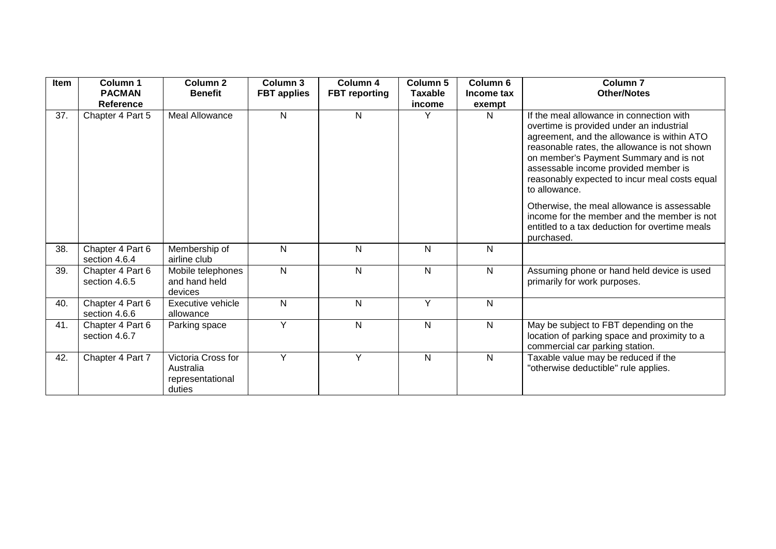| Item | Column 1                          | Column <sub>2</sub>                                           | Column 3           | Column 4             | Column 5       | Column 6   | Column <sub>7</sub>                                                                                                                                                                                                                                                                                                                    |
|------|-----------------------------------|---------------------------------------------------------------|--------------------|----------------------|----------------|------------|----------------------------------------------------------------------------------------------------------------------------------------------------------------------------------------------------------------------------------------------------------------------------------------------------------------------------------------|
|      | <b>PACMAN</b>                     | <b>Benefit</b>                                                | <b>FBT</b> applies | <b>FBT</b> reporting | <b>Taxable</b> | Income tax | <b>Other/Notes</b>                                                                                                                                                                                                                                                                                                                     |
|      | Reference                         |                                                               |                    |                      | income         | exempt     |                                                                                                                                                                                                                                                                                                                                        |
| 37.  | Chapter 4 Part 5                  | Meal Allowance                                                | N                  | $\mathsf{N}$         |                | N          | If the meal allowance in connection with<br>overtime is provided under an industrial<br>agreement, and the allowance is within ATO<br>reasonable rates, the allowance is not shown<br>on member's Payment Summary and is not<br>assessable income provided member is<br>reasonably expected to incur meal costs equal<br>to allowance. |
|      |                                   |                                                               |                    |                      |                |            | Otherwise, the meal allowance is assessable<br>income for the member and the member is not<br>entitled to a tax deduction for overtime meals<br>purchased.                                                                                                                                                                             |
| 38.  | Chapter 4 Part 6<br>section 4.6.4 | Membership of<br>airline club                                 | N                  | N                    | N              | N          |                                                                                                                                                                                                                                                                                                                                        |
| 39.  | Chapter 4 Part 6<br>section 4.6.5 | Mobile telephones<br>and hand held<br>devices                 | N                  | N                    | N              | N          | Assuming phone or hand held device is used<br>primarily for work purposes.                                                                                                                                                                                                                                                             |
| 40.  | Chapter 4 Part 6<br>section 4.6.6 | Executive vehicle<br>allowance                                | N                  | $\mathsf{N}$         | Y              | N          |                                                                                                                                                                                                                                                                                                                                        |
| 41.  | Chapter 4 Part 6<br>section 4.6.7 | Parking space                                                 | Y                  | N                    | $\mathsf{N}$   | N          | May be subject to FBT depending on the<br>location of parking space and proximity to a<br>commercial car parking station.                                                                                                                                                                                                              |
| 42.  | Chapter 4 Part 7                  | Victoria Cross for<br>Australia<br>representational<br>duties | Y                  | Y                    | $\mathsf{N}$   | N          | Taxable value may be reduced if the<br>"otherwise deductible" rule applies.                                                                                                                                                                                                                                                            |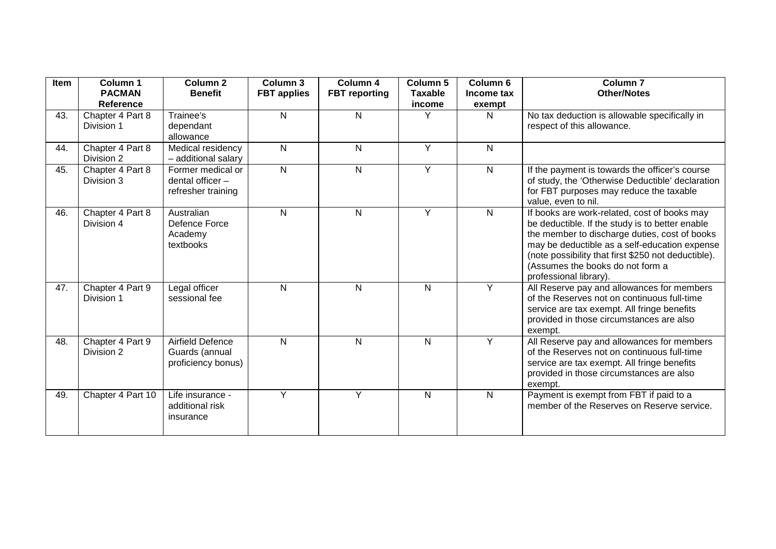| Item | Column 1<br><b>PACMAN</b><br><b>Reference</b> | Column <sub>2</sub><br><b>Benefit</b>                       | Column 3<br><b>FBT</b> applies | Column 4<br><b>FBT</b> reporting | Column 5<br><b>Taxable</b><br>income | Column 6<br>Income tax<br>exempt | <b>Column 7</b><br><b>Other/Notes</b>                                                                                                                                                                                                                                                                                  |
|------|-----------------------------------------------|-------------------------------------------------------------|--------------------------------|----------------------------------|--------------------------------------|----------------------------------|------------------------------------------------------------------------------------------------------------------------------------------------------------------------------------------------------------------------------------------------------------------------------------------------------------------------|
| 43.  | Chapter 4 Part 8<br>Division 1                | Trainee's<br>dependant<br>allowance                         | N                              | $\mathsf{N}$                     | Υ                                    | N                                | No tax deduction is allowable specifically in<br>respect of this allowance.                                                                                                                                                                                                                                            |
| 44.  | Chapter 4 Part 8<br>Division 2                | Medical residency<br>- additional salary                    | N                              | $\mathsf{N}$                     | Y                                    | N                                |                                                                                                                                                                                                                                                                                                                        |
| 45.  | Chapter 4 Part 8<br>Division 3                | Former medical or<br>dental officer -<br>refresher training | $\mathsf{N}$                   | $\mathsf{N}$                     | $\overline{Y}$                       | $\mathsf{N}$                     | If the payment is towards the officer's course<br>of study, the 'Otherwise Deductible' declaration<br>for FBT purposes may reduce the taxable<br>value, even to nil.                                                                                                                                                   |
| 46.  | Chapter 4 Part 8<br>Division 4                | Australian<br>Defence Force<br>Academy<br>textbooks         | N                              | $\mathsf{N}$                     | Y                                    | N                                | If books are work-related, cost of books may<br>be deductible. If the study is to better enable<br>the member to discharge duties, cost of books<br>may be deductible as a self-education expense<br>(note possibility that first \$250 not deductible).<br>(Assumes the books do not form a<br>professional library). |
| 47.  | Chapter 4 Part 9<br>Division 1                | Legal officer<br>sessional fee                              | ${\sf N}$                      | ${\sf N}$                        | $\mathsf{N}$                         | Y                                | All Reserve pay and allowances for members<br>of the Reserves not on continuous full-time<br>service are tax exempt. All fringe benefits<br>provided in those circumstances are also<br>exempt.                                                                                                                        |
| 48.  | Chapter 4 Part 9<br>Division 2                | Airfield Defence<br>Guards (annual<br>proficiency bonus)    | ${\sf N}$                      | N                                | N                                    | Y                                | All Reserve pay and allowances for members<br>of the Reserves not on continuous full-time<br>service are tax exempt. All fringe benefits<br>provided in those circumstances are also<br>exempt.                                                                                                                        |
| 49.  | Chapter 4 Part 10                             | Life insurance -<br>additional risk<br>insurance            | Y                              | Y                                | N                                    | N                                | Payment is exempt from FBT if paid to a<br>member of the Reserves on Reserve service.                                                                                                                                                                                                                                  |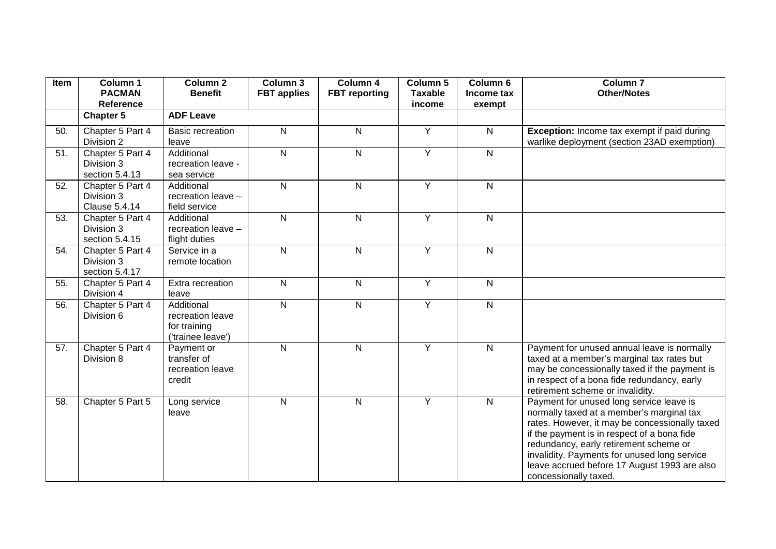| Item | Column 1<br><b>PACMAN</b>                              | Column <sub>2</sub><br><b>Benefit</b>                               | Column 3<br><b>FBT</b> applies | Column 4<br><b>FBT</b> reporting | Column 5<br><b>Taxable</b> | Column 6<br>Income tax | Column <sub>7</sub><br><b>Other/Notes</b>                                                                                                                                                                                                                                                                                                                 |
|------|--------------------------------------------------------|---------------------------------------------------------------------|--------------------------------|----------------------------------|----------------------------|------------------------|-----------------------------------------------------------------------------------------------------------------------------------------------------------------------------------------------------------------------------------------------------------------------------------------------------------------------------------------------------------|
|      | Reference<br>Chapter 5                                 | <b>ADF Leave</b>                                                    |                                |                                  | income                     | exempt                 |                                                                                                                                                                                                                                                                                                                                                           |
| 50.  | Chapter 5 Part 4<br>Division 2                         | <b>Basic recreation</b><br>leave                                    | N                              | $\mathsf{N}$                     | Y                          | $\overline{N}$         | Exception: Income tax exempt if paid during<br>warlike deployment (section 23AD exemption)                                                                                                                                                                                                                                                                |
| 51.  | Chapter 5 Part 4<br>Division 3<br>section 5.4.13       | Additional<br>recreation leave -<br>sea service                     | ${\sf N}$                      | $\mathsf{N}$                     | Y                          | ${\sf N}$              |                                                                                                                                                                                                                                                                                                                                                           |
| 52.  | Chapter 5 Part 4<br>Division 3<br><b>Clause 5.4.14</b> | Additional<br>recreation leave -<br>field service                   | $\mathsf{N}$                   | $\mathsf{N}$                     | Y                          | $\mathsf{N}$           |                                                                                                                                                                                                                                                                                                                                                           |
| 53.  | Chapter 5 Part 4<br>Division 3<br>section 5.4.15       | Additional<br>recreation leave -<br>flight duties                   | $\overline{N}$                 | $\mathsf{N}$                     | Y                          | $\mathsf{N}$           |                                                                                                                                                                                                                                                                                                                                                           |
| 54.  | Chapter 5 Part 4<br>Division 3<br>section 5.4.17       | Service in a<br>remote location                                     | $\overline{N}$                 | $\mathsf{N}$                     | Y                          | $\mathsf{N}$           |                                                                                                                                                                                                                                                                                                                                                           |
| 55.  | Chapter 5 Part 4<br>Division 4                         | Extra recreation<br>leave                                           | $\mathsf{N}$                   | $\mathsf{N}$                     | Y                          | $\mathsf{N}$           |                                                                                                                                                                                                                                                                                                                                                           |
| 56.  | Chapter 5 Part 4<br>Division 6                         | Additional<br>recreation leave<br>for training<br>('trainee leave') | $\overline{\mathsf{N}}$        | $\mathsf{N}$                     | Y                          | $\mathsf{N}$           |                                                                                                                                                                                                                                                                                                                                                           |
| 57.  | Chapter 5 Part 4<br>Division 8                         | Payment or<br>transfer of<br>recreation leave<br>credit             | $\mathsf{N}$                   | $\mathsf{N}$                     | Y                          | $\mathsf{N}$           | Payment for unused annual leave is normally<br>taxed at a member's marginal tax rates but<br>may be concessionally taxed if the payment is<br>in respect of a bona fide redundancy, early<br>retirement scheme or invalidity.                                                                                                                             |
| 58.  | Chapter 5 Part 5                                       | Long service<br>leave                                               | N                              | $\mathsf{N}$                     | Y                          | $\mathsf{N}$           | Payment for unused long service leave is<br>normally taxed at a member's marginal tax<br>rates. However, it may be concessionally taxed<br>if the payment is in respect of a bona fide<br>redundancy, early retirement scheme or<br>invalidity. Payments for unused long service<br>leave accrued before 17 August 1993 are also<br>concessionally taxed. |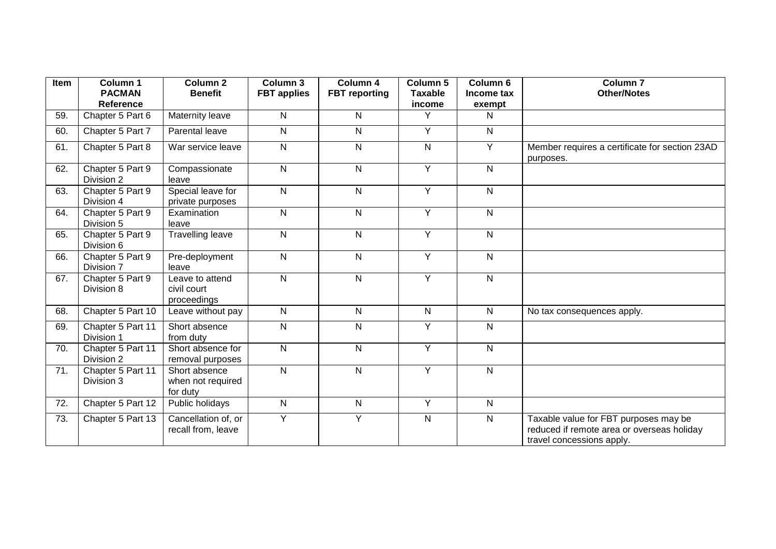| Item | Column 1<br><b>PACMAN</b>       | Column <sub>2</sub><br><b>Benefit</b>          | Column 3<br><b>FBT</b> applies | Column 4<br><b>FBT</b> reporting | Column 5<br><b>Taxable</b> | Column 6<br>Income tax  | Column <sub>7</sub><br><b>Other/Notes</b>                                                                        |
|------|---------------------------------|------------------------------------------------|--------------------------------|----------------------------------|----------------------------|-------------------------|------------------------------------------------------------------------------------------------------------------|
| 59.  | Reference<br>Chapter 5 Part 6   | Maternity leave                                | N                              | N                                | income<br>Y                | exempt<br>N             |                                                                                                                  |
|      |                                 |                                                |                                |                                  |                            |                         |                                                                                                                  |
| 60.  | Chapter 5 Part 7                | Parental leave                                 | N                              | $\mathsf{N}$                     | Y                          | $\overline{N}$          |                                                                                                                  |
| 61.  | Chapter 5 Part 8                | War service leave                              | N                              | $\mathsf{N}$                     | $\mathsf{N}$               | $\overline{Y}$          | Member requires a certificate for section 23AD<br>purposes.                                                      |
| 62.  | Chapter 5 Part 9<br>Division 2  | Compassionate<br>leave                         | $\overline{N}$                 | $\overline{\mathsf{N}}$          | $\overline{Y}$             | $\overline{N}$          |                                                                                                                  |
| 63.  | Chapter 5 Part 9<br>Division 4  | Special leave for<br>private purposes          | N                              | ${\sf N}$                        | $\overline{Y}$             | $\mathsf{N}$            |                                                                                                                  |
| 64.  | Chapter 5 Part 9<br>Division 5  | Examination<br>leave                           | N                              | $\mathsf{N}$                     | $\overline{Y}$             | $\mathsf{N}$            |                                                                                                                  |
| 65.  | Chapter 5 Part 9<br>Division 6  | <b>Travelling leave</b>                        | N                              | $\mathsf{N}$                     | $\overline{Y}$             | $\mathsf{N}$            |                                                                                                                  |
| 66.  | Chapter 5 Part 9<br>Division 7  | Pre-deployment<br>leave                        | N                              | $\mathsf{N}$                     | Y                          | $\mathsf{N}$            |                                                                                                                  |
| 67.  | Chapter 5 Part 9<br>Division 8  | Leave to attend<br>civil court<br>proceedings  | N                              | N                                | Y                          | $\mathsf{N}$            |                                                                                                                  |
| 68.  | Chapter 5 Part 10               | Leave without pay                              | N                              | ${\sf N}$                        | $\mathsf{N}$               | $\mathsf{N}$            | No tax consequences apply.                                                                                       |
| 69.  | Chapter 5 Part 11<br>Division 1 | Short absence<br>from duty                     | N                              | N                                | Y                          | $\mathsf{N}$            |                                                                                                                  |
| 70.  | Chapter 5 Part 11<br>Division 2 | Short absence for<br>removal purposes          | N                              | $\mathsf{N}$                     | Y                          | $\overline{N}$          |                                                                                                                  |
| 71.  | Chapter 5 Part 11<br>Division 3 | Short absence<br>when not required<br>for duty | N                              | ${\sf N}$                        | Y                          | $\overline{\mathsf{N}}$ |                                                                                                                  |
| 72.  | Chapter 5 Part 12               | Public holidays                                | N                              | ${\sf N}$                        | Y                          | $\mathsf{N}$            |                                                                                                                  |
| 73.  | Chapter 5 Part 13               | Cancellation of, or<br>recall from, leave      | Y                              | Y                                | ${\sf N}$                  | $\overline{N}$          | Taxable value for FBT purposes may be<br>reduced if remote area or overseas holiday<br>travel concessions apply. |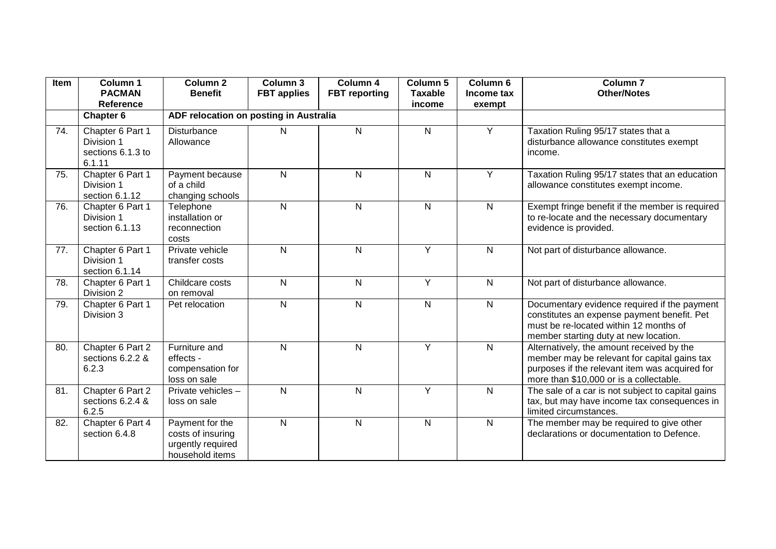| Item | Column 1<br><b>PACMAN</b><br>Reference                        | Column <sub>2</sub><br><b>Benefit</b>                                        | Column 3<br><b>FBT</b> applies | Column 4<br><b>FBT</b> reporting | Column 5<br><b>Taxable</b> | Column <sub>6</sub><br>Income tax | <b>Column 7</b><br><b>Other/Notes</b>                                                                                                                                                  |
|------|---------------------------------------------------------------|------------------------------------------------------------------------------|--------------------------------|----------------------------------|----------------------------|-----------------------------------|----------------------------------------------------------------------------------------------------------------------------------------------------------------------------------------|
|      | <b>Chapter 6</b>                                              | ADF relocation on posting in Australia                                       |                                |                                  | income                     | exempt                            |                                                                                                                                                                                        |
| 74.  | Chapter 6 Part 1<br>Division 1<br>sections 6.1.3 to<br>6.1.11 | <b>Disturbance</b><br>Allowance                                              | N                              | $\mathsf{N}$                     | $\mathsf{N}$               | Y                                 | Taxation Ruling 95/17 states that a<br>disturbance allowance constitutes exempt<br>income.                                                                                             |
| 75.  | Chapter 6 Part 1<br>Division 1<br>section 6.1.12              | Payment because<br>of a child<br>changing schools                            | N                              | $\mathsf{N}$                     | $\mathsf{N}$               | Y                                 | Taxation Ruling 95/17 states that an education<br>allowance constitutes exempt income.                                                                                                 |
| 76.  | Chapter 6 Part 1<br>Division 1<br>section 6.1.13              | Telephone<br>installation or<br>reconnection<br>costs                        | ${\sf N}$                      | $\mathsf{N}$                     | ${\sf N}$                  | $\mathsf{N}$                      | Exempt fringe benefit if the member is required<br>to re-locate and the necessary documentary<br>evidence is provided.                                                                 |
| 77.  | Chapter 6 Part 1<br>Division 1<br>section 6.1.14              | Private vehicle<br>transfer costs                                            | N                              | $\mathsf{N}$                     | Y                          | N                                 | Not part of disturbance allowance.                                                                                                                                                     |
| 78.  | Chapter 6 Part 1<br>Division 2                                | Childcare costs<br>on removal                                                | $\mathsf{N}$                   | $\mathsf{N}$                     | $\overline{Y}$             | $\mathsf{N}$                      | Not part of disturbance allowance.                                                                                                                                                     |
| 79.  | Chapter 6 Part 1<br>Division 3                                | Pet relocation                                                               | ${\sf N}$                      | $\mathsf{N}$                     | ${\sf N}$                  | $\mathsf{N}$                      | Documentary evidence required if the payment<br>constitutes an expense payment benefit. Pet<br>must be re-located within 12 months of<br>member starting duty at new location.         |
| 80.  | Chapter 6 Part 2<br>sections 6.2.2 &<br>6.2.3                 | Furniture and<br>effects -<br>compensation for<br>loss on sale               | N                              | N                                | Y                          | $\overline{N}$                    | Alternatively, the amount received by the<br>member may be relevant for capital gains tax<br>purposes if the relevant item was acquired for<br>more than \$10,000 or is a collectable. |
| 81.  | Chapter 6 Part 2<br>sections 6.2.4 &<br>6.2.5                 | Private vehicles -<br>loss on sale                                           | $\mathsf{N}$                   | N                                | $\overline{Y}$             | $\mathsf{N}$                      | The sale of a car is not subject to capital gains<br>tax, but may have income tax consequences in<br>limited circumstances.                                                            |
| 82.  | Chapter 6 Part 4<br>section 6.4.8                             | Payment for the<br>costs of insuring<br>urgently required<br>household items | ${\sf N}$                      | ${\sf N}$                        | $\mathsf{N}$               | $\mathsf{N}$                      | The member may be required to give other<br>declarations or documentation to Defence.                                                                                                  |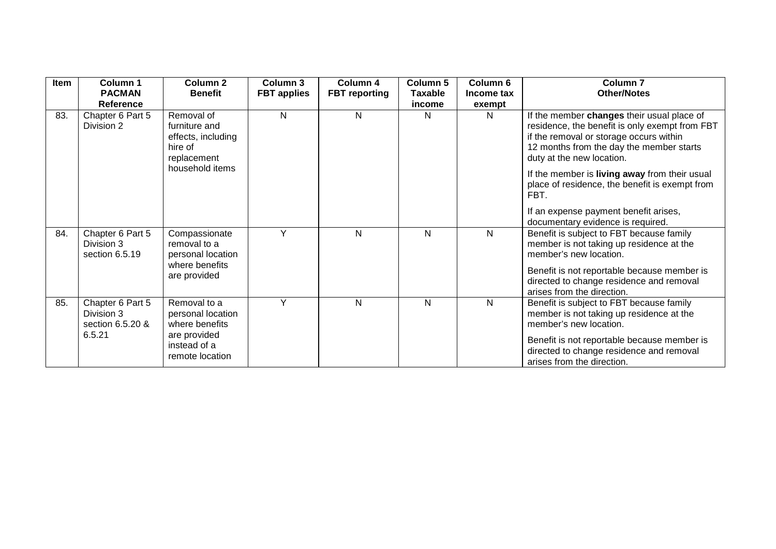| Item | Column 1<br><b>PACMAN</b><br>Reference                       | <b>Column 2</b><br><b>Benefit</b>                                                                      | <b>Column 3</b><br><b>FBT</b> applies | Column 4<br><b>FBT</b> reporting | <b>Column 5</b><br><b>Taxable</b><br>income | Column 6<br>Income tax<br>exempt | Column <sub>7</sub><br><b>Other/Notes</b>                                                                                                                                                                                               |
|------|--------------------------------------------------------------|--------------------------------------------------------------------------------------------------------|---------------------------------------|----------------------------------|---------------------------------------------|----------------------------------|-----------------------------------------------------------------------------------------------------------------------------------------------------------------------------------------------------------------------------------------|
| 83.  | Chapter 6 Part 5<br>Division 2                               | Removal of<br>furniture and<br>effects, including<br>hire of<br>replacement                            | N                                     | N                                | N                                           | <sub>N</sub>                     | If the member changes their usual place of<br>residence, the benefit is only exempt from FBT<br>if the removal or storage occurs within<br>12 months from the day the member starts<br>duty at the new location.                        |
|      |                                                              | household items                                                                                        |                                       |                                  |                                             |                                  | If the member is living away from their usual<br>place of residence, the benefit is exempt from<br>FBT.<br>If an expense payment benefit arises,                                                                                        |
|      |                                                              |                                                                                                        |                                       |                                  |                                             |                                  | documentary evidence is required.                                                                                                                                                                                                       |
| 84.  | Chapter 6 Part 5<br>Division 3<br>section 6.5.19             | Compassionate<br>removal to a<br>personal location<br>where benefits<br>are provided                   | Y                                     | N                                | N                                           | N                                | Benefit is subject to FBT because family<br>member is not taking up residence at the<br>member's new location.<br>Benefit is not reportable because member is<br>directed to change residence and removal<br>arises from the direction. |
| 85.  | Chapter 6 Part 5<br>Division 3<br>section 6.5.20 &<br>6.5.21 | Removal to a<br>personal location<br>where benefits<br>are provided<br>instead of a<br>remote location | Y                                     | N                                | N                                           | N                                | Benefit is subject to FBT because family<br>member is not taking up residence at the<br>member's new location.<br>Benefit is not reportable because member is<br>directed to change residence and removal<br>arises from the direction. |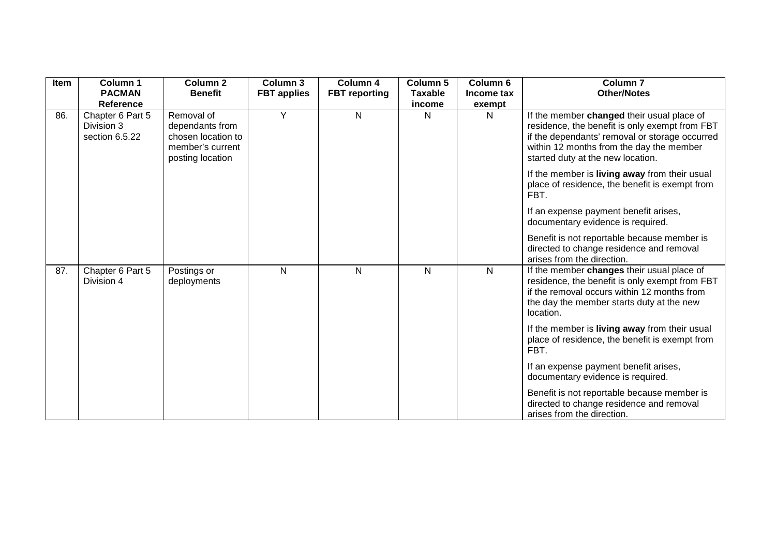| Item | Column 1<br><b>PACMAN</b><br>Reference           | Column <sub>2</sub><br><b>Benefit</b>                                                       | Column 3<br><b>FBT</b> applies | Column 4<br><b>FBT</b> reporting | Column 5<br><b>Taxable</b><br>income | Column <sub>6</sub><br>Income tax<br>exempt | Column <sub>7</sub><br><b>Other/Notes</b>                                                                                                                                                                                       |
|------|--------------------------------------------------|---------------------------------------------------------------------------------------------|--------------------------------|----------------------------------|--------------------------------------|---------------------------------------------|---------------------------------------------------------------------------------------------------------------------------------------------------------------------------------------------------------------------------------|
| 86.  | Chapter 6 Part 5<br>Division 3<br>section 6.5.22 | Removal of<br>dependants from<br>chosen location to<br>member's current<br>posting location | Y                              | $\mathsf{N}$                     | N                                    | N                                           | If the member changed their usual place of<br>residence, the benefit is only exempt from FBT<br>if the dependants' removal or storage occurred<br>within 12 months from the day the member<br>started duty at the new location. |
|      |                                                  |                                                                                             |                                |                                  |                                      |                                             | If the member is living away from their usual<br>place of residence, the benefit is exempt from<br>FBT.                                                                                                                         |
|      |                                                  |                                                                                             |                                |                                  |                                      |                                             | If an expense payment benefit arises,<br>documentary evidence is required.                                                                                                                                                      |
|      |                                                  |                                                                                             |                                |                                  |                                      |                                             | Benefit is not reportable because member is<br>directed to change residence and removal<br>arises from the direction.                                                                                                           |
| 87.  | Chapter 6 Part 5<br>Division 4                   | Postings or<br>deployments                                                                  | N                              | N                                | N                                    | N                                           | If the member changes their usual place of<br>residence, the benefit is only exempt from FBT<br>if the removal occurs within 12 months from<br>the day the member starts duty at the new<br>location.                           |
|      |                                                  |                                                                                             |                                |                                  |                                      |                                             | If the member is living away from their usual<br>place of residence, the benefit is exempt from<br>FBT.                                                                                                                         |
|      |                                                  |                                                                                             |                                |                                  |                                      |                                             | If an expense payment benefit arises,<br>documentary evidence is required.                                                                                                                                                      |
|      |                                                  |                                                                                             |                                |                                  |                                      |                                             | Benefit is not reportable because member is<br>directed to change residence and removal<br>arises from the direction.                                                                                                           |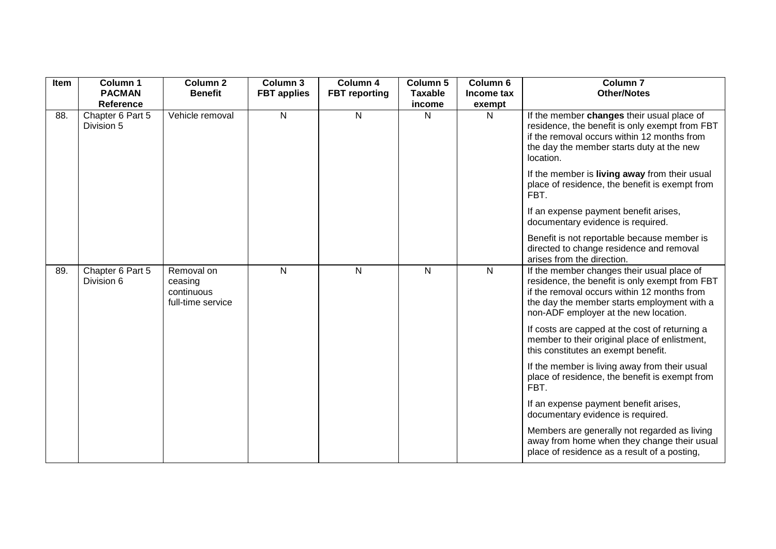| Item | Column 1                       | Column <sub>2</sub>                                      | Column 3           | Column 4             | Column 5       | Column <sub>6</sub> | <b>Column 7</b>                                                                                                                                                                                                                     |
|------|--------------------------------|----------------------------------------------------------|--------------------|----------------------|----------------|---------------------|-------------------------------------------------------------------------------------------------------------------------------------------------------------------------------------------------------------------------------------|
|      | <b>PACMAN</b>                  | <b>Benefit</b>                                           | <b>FBT</b> applies | <b>FBT</b> reporting | <b>Taxable</b> | Income tax          | <b>Other/Notes</b>                                                                                                                                                                                                                  |
|      | <b>Reference</b>               |                                                          |                    |                      | income         | exempt              |                                                                                                                                                                                                                                     |
| 88.  | Chapter 6 Part 5<br>Division 5 | Vehicle removal                                          | $\mathsf{N}$       | $\mathsf{N}$         | $\mathsf{N}$   | N                   | If the member changes their usual place of<br>residence, the benefit is only exempt from FBT<br>if the removal occurs within 12 months from<br>the day the member starts duty at the new<br>location.                               |
|      |                                |                                                          |                    |                      |                |                     | If the member is living away from their usual<br>place of residence, the benefit is exempt from<br>FBT.                                                                                                                             |
|      |                                |                                                          |                    |                      |                |                     | If an expense payment benefit arises,<br>documentary evidence is required.                                                                                                                                                          |
|      |                                |                                                          |                    |                      |                |                     | Benefit is not reportable because member is<br>directed to change residence and removal<br>arises from the direction.                                                                                                               |
| 89.  | Chapter 6 Part 5<br>Division 6 | Removal on<br>ceasing<br>continuous<br>full-time service | N                  | $\mathsf{N}$         | $\mathsf{N}$   | N                   | If the member changes their usual place of<br>residence, the benefit is only exempt from FBT<br>if the removal occurs within 12 months from<br>the day the member starts employment with a<br>non-ADF employer at the new location. |
|      |                                |                                                          |                    |                      |                |                     | If costs are capped at the cost of returning a<br>member to their original place of enlistment,<br>this constitutes an exempt benefit.                                                                                              |
|      |                                |                                                          |                    |                      |                |                     | If the member is living away from their usual<br>place of residence, the benefit is exempt from<br>FBT.                                                                                                                             |
|      |                                |                                                          |                    |                      |                |                     | If an expense payment benefit arises,<br>documentary evidence is required.                                                                                                                                                          |
|      |                                |                                                          |                    |                      |                |                     | Members are generally not regarded as living<br>away from home when they change their usual<br>place of residence as a result of a posting,                                                                                         |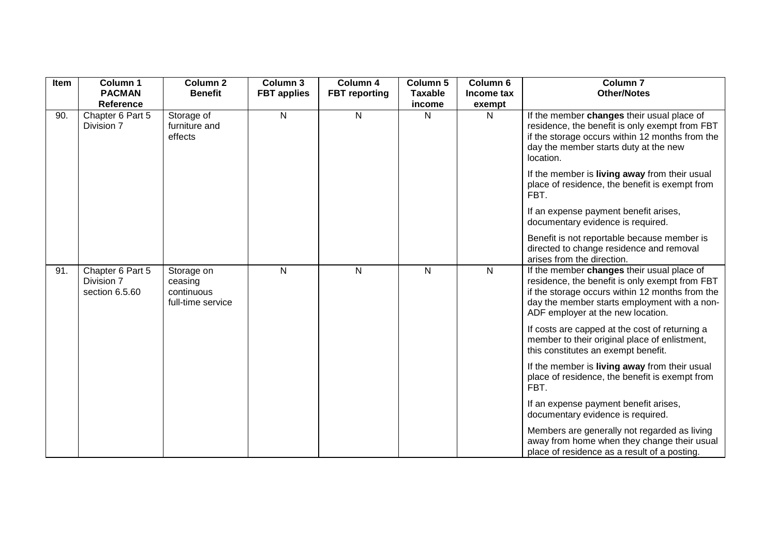| Item | Column 1                                         | <b>Column 2</b>                                          | Column 3           | Column 4             | Column 5          | Column 6    | <b>Column 7</b>                                                                                                                                                                                                                      |
|------|--------------------------------------------------|----------------------------------------------------------|--------------------|----------------------|-------------------|-------------|--------------------------------------------------------------------------------------------------------------------------------------------------------------------------------------------------------------------------------------|
|      | <b>PACMAN</b><br><b>Reference</b>                | <b>Benefit</b>                                           | <b>FBT</b> applies | <b>FBT</b> reporting | Taxable<br>income | Income tax  | <b>Other/Notes</b>                                                                                                                                                                                                                   |
| 90.  | Chapter 6 Part 5<br>Division 7                   | Storage of<br>furniture and<br>effects                   | N                  | $\mathsf{N}$         | N                 | exempt<br>N | If the member changes their usual place of<br>residence, the benefit is only exempt from FBT<br>if the storage occurs within 12 months from the<br>day the member starts duty at the new<br>location.                                |
|      |                                                  |                                                          |                    |                      |                   |             | If the member is living away from their usual<br>place of residence, the benefit is exempt from<br>FBT.                                                                                                                              |
|      |                                                  |                                                          |                    |                      |                   |             | If an expense payment benefit arises,<br>documentary evidence is required.                                                                                                                                                           |
|      |                                                  |                                                          |                    |                      |                   |             | Benefit is not reportable because member is<br>directed to change residence and removal<br>arises from the direction.                                                                                                                |
| 91.  | Chapter 6 Part 5<br>Division 7<br>section 6.5.60 | Storage on<br>ceasing<br>continuous<br>full-time service | N                  | $\mathsf{N}$         | N                 | N           | If the member changes their usual place of<br>residence, the benefit is only exempt from FBT<br>if the storage occurs within 12 months from the<br>day the member starts employment with a non-<br>ADF employer at the new location. |
|      |                                                  |                                                          |                    |                      |                   |             | If costs are capped at the cost of returning a<br>member to their original place of enlistment,<br>this constitutes an exempt benefit.                                                                                               |
|      |                                                  |                                                          |                    |                      |                   |             | If the member is living away from their usual<br>place of residence, the benefit is exempt from<br>FBT.                                                                                                                              |
|      |                                                  |                                                          |                    |                      |                   |             | If an expense payment benefit arises,<br>documentary evidence is required.                                                                                                                                                           |
|      |                                                  |                                                          |                    |                      |                   |             | Members are generally not regarded as living<br>away from home when they change their usual<br>place of residence as a result of a posting.                                                                                          |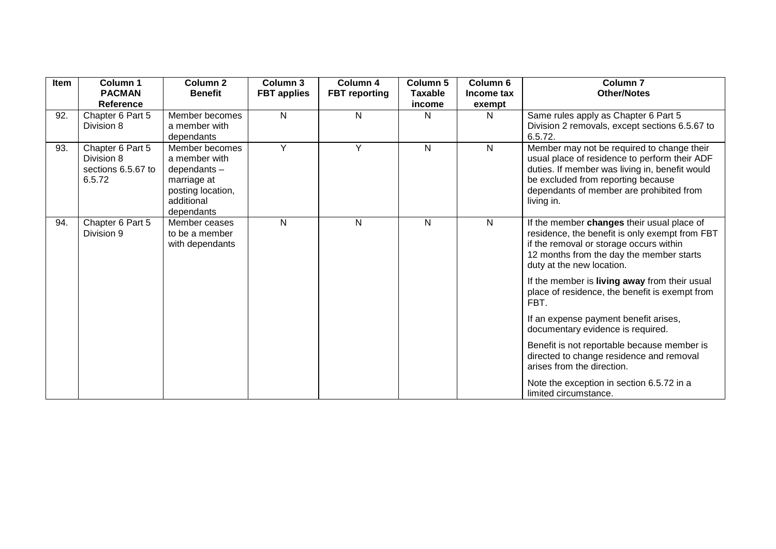| Item | Column 1<br><b>PACMAN</b>                                      | Column <sub>2</sub><br><b>Benefit</b>                                                                             | Column 3<br><b>FBT</b> applies | Column 4<br><b>FBT</b> reporting | Column 5<br><b>Taxable</b> | Column 6<br>Income tax | <b>Column 7</b><br><b>Other/Notes</b>                                                                                                                                                                                                         |
|------|----------------------------------------------------------------|-------------------------------------------------------------------------------------------------------------------|--------------------------------|----------------------------------|----------------------------|------------------------|-----------------------------------------------------------------------------------------------------------------------------------------------------------------------------------------------------------------------------------------------|
|      | <b>Reference</b>                                               |                                                                                                                   |                                |                                  | income                     | exempt                 |                                                                                                                                                                                                                                               |
| 92.  | Chapter 6 Part 5<br>Division 8                                 | Member becomes<br>a member with<br>dependants                                                                     | N                              | N                                | N                          | N                      | Same rules apply as Chapter 6 Part 5<br>Division 2 removals, except sections 6.5.67 to<br>6.5.72.                                                                                                                                             |
| 93.  | Chapter 6 Part 5<br>Division 8<br>sections 6.5.67 to<br>6.5.72 | Member becomes<br>a member with<br>$dependants -$<br>marriage at<br>posting location,<br>additional<br>dependants | Y                              | Y                                | $\mathsf{N}$               | $\mathsf{N}$           | Member may not be required to change their<br>usual place of residence to perform their ADF<br>duties. If member was living in, benefit would<br>be excluded from reporting because<br>dependants of member are prohibited from<br>living in. |
| 94.  | Chapter 6 Part 5<br>Division 9                                 | Member ceases<br>to be a member<br>with dependants                                                                | N                              | N                                | N                          | N                      | If the member changes their usual place of<br>residence, the benefit is only exempt from FBT<br>if the removal or storage occurs within<br>12 months from the day the member starts<br>duty at the new location.                              |
|      |                                                                |                                                                                                                   |                                |                                  |                            |                        | If the member is living away from their usual<br>place of residence, the benefit is exempt from<br>FBT.                                                                                                                                       |
|      |                                                                |                                                                                                                   |                                |                                  |                            |                        | If an expense payment benefit arises,<br>documentary evidence is required.                                                                                                                                                                    |
|      |                                                                |                                                                                                                   |                                |                                  |                            |                        | Benefit is not reportable because member is<br>directed to change residence and removal<br>arises from the direction.                                                                                                                         |
|      |                                                                |                                                                                                                   |                                |                                  |                            |                        | Note the exception in section 6.5.72 in a<br>limited circumstance.                                                                                                                                                                            |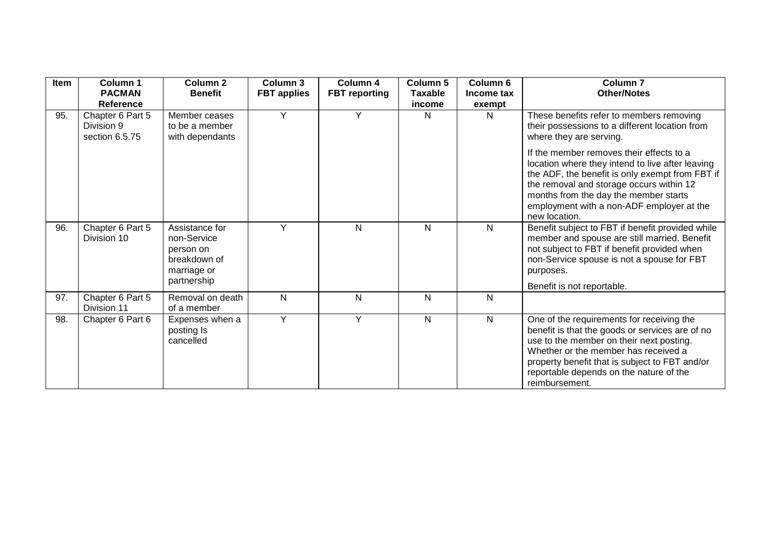| Item | Column 1<br><b>PACMAN</b>                        | Column 2<br><b>Benefit</b>                                                               | Column 3<br><b>FBT</b> applies | Column 4<br><b>FBT</b> reporting | Column 5<br><b>Taxable</b> | Column 6<br>Income tax | Column <sub>7</sub><br><b>Other/Notes</b>                                                                                                                                                                                                                                                          |
|------|--------------------------------------------------|------------------------------------------------------------------------------------------|--------------------------------|----------------------------------|----------------------------|------------------------|----------------------------------------------------------------------------------------------------------------------------------------------------------------------------------------------------------------------------------------------------------------------------------------------------|
|      | Reference                                        |                                                                                          |                                |                                  | income                     | exempt                 |                                                                                                                                                                                                                                                                                                    |
| 95.  | Chapter 6 Part 5<br>Division 9<br>section 6.5.75 | Member ceases<br>to be a member<br>with dependants                                       | Y                              | Y                                | N                          | N                      | These benefits refer to members removing<br>their possessions to a different location from<br>where they are serving.                                                                                                                                                                              |
|      |                                                  |                                                                                          |                                |                                  |                            |                        | If the member removes their effects to a<br>location where they intend to live after leaving<br>the ADF, the benefit is only exempt from FBT if<br>the removal and storage occurs within 12<br>months from the day the member starts<br>employment with a non-ADF employer at the<br>new location. |
| 96.  | Chapter 6 Part 5<br>Division 10                  | Assistance for<br>non-Service<br>person on<br>breakdown of<br>marriage or<br>partnership | Y                              | N                                | N                          | N                      | Benefit subject to FBT if benefit provided while<br>member and spouse are still married. Benefit<br>not subject to FBT if benefit provided when<br>non-Service spouse is not a spouse for FBT<br>purposes.<br>Benefit is not reportable.                                                           |
| 97.  | Chapter 6 Part 5<br>Division 11                  | Removal on death<br>of a member                                                          | $\mathsf{N}$                   | N                                | N                          | N                      |                                                                                                                                                                                                                                                                                                    |
| 98.  | Chapter 6 Part 6                                 | Expenses when a<br>posting Is<br>cancelled                                               | Y                              | Y                                | N                          | Ν                      | One of the requirements for receiving the<br>benefit is that the goods or services are of no<br>use to the member on their next posting.<br>Whether or the member has received a<br>property benefit that is subject to FBT and/or<br>reportable depends on the nature of the<br>reimbursement.    |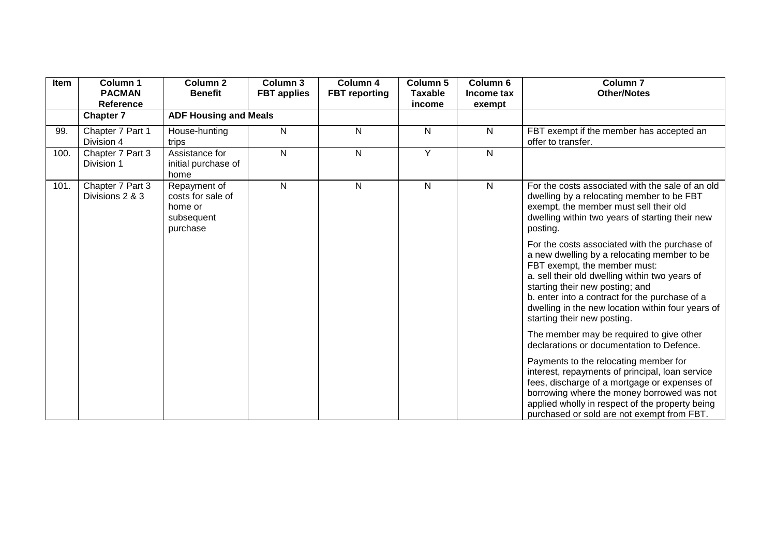| Item | Column 1<br><b>PACMAN</b><br><b>Reference</b> | <b>Column 2</b><br><b>Benefit</b>                                      | Column 3<br><b>FBT</b> applies | Column 4<br><b>FBT</b> reporting | Column 5<br><b>Taxable</b><br>income | Column 6<br>Income tax<br>exempt | <b>Column 7</b><br><b>Other/Notes</b>                                                                                                                                                                                                                                                                                                                   |
|------|-----------------------------------------------|------------------------------------------------------------------------|--------------------------------|----------------------------------|--------------------------------------|----------------------------------|---------------------------------------------------------------------------------------------------------------------------------------------------------------------------------------------------------------------------------------------------------------------------------------------------------------------------------------------------------|
|      | <b>Chapter 7</b>                              | <b>ADF Housing and Meals</b>                                           |                                |                                  |                                      |                                  |                                                                                                                                                                                                                                                                                                                                                         |
| 99.  | Chapter 7 Part 1<br>Division 4                | House-hunting<br>trips                                                 | N                              | N                                | N                                    | $\mathsf{N}$                     | FBT exempt if the member has accepted an<br>offer to transfer.                                                                                                                                                                                                                                                                                          |
| 100. | Chapter 7 Part 3<br>Division 1                | Assistance for<br>initial purchase of<br>home                          | N                              | N                                | Y                                    | $\mathsf{N}$                     |                                                                                                                                                                                                                                                                                                                                                         |
| 101. | Chapter 7 Part 3<br>Divisions 2 & 3           | Repayment of<br>costs for sale of<br>home or<br>subsequent<br>purchase | N                              | N                                | $\mathsf{N}$                         | $\mathsf{N}$                     | For the costs associated with the sale of an old<br>dwelling by a relocating member to be FBT<br>exempt, the member must sell their old<br>dwelling within two years of starting their new<br>posting.                                                                                                                                                  |
|      |                                               |                                                                        |                                |                                  |                                      |                                  | For the costs associated with the purchase of<br>a new dwelling by a relocating member to be<br>FBT exempt, the member must:<br>a. sell their old dwelling within two years of<br>starting their new posting; and<br>b. enter into a contract for the purchase of a<br>dwelling in the new location within four years of<br>starting their new posting. |
|      |                                               |                                                                        |                                |                                  |                                      |                                  | The member may be required to give other<br>declarations or documentation to Defence.                                                                                                                                                                                                                                                                   |
|      |                                               |                                                                        |                                |                                  |                                      |                                  | Payments to the relocating member for<br>interest, repayments of principal, loan service<br>fees, discharge of a mortgage or expenses of<br>borrowing where the money borrowed was not<br>applied wholly in respect of the property being<br>purchased or sold are not exempt from FBT.                                                                 |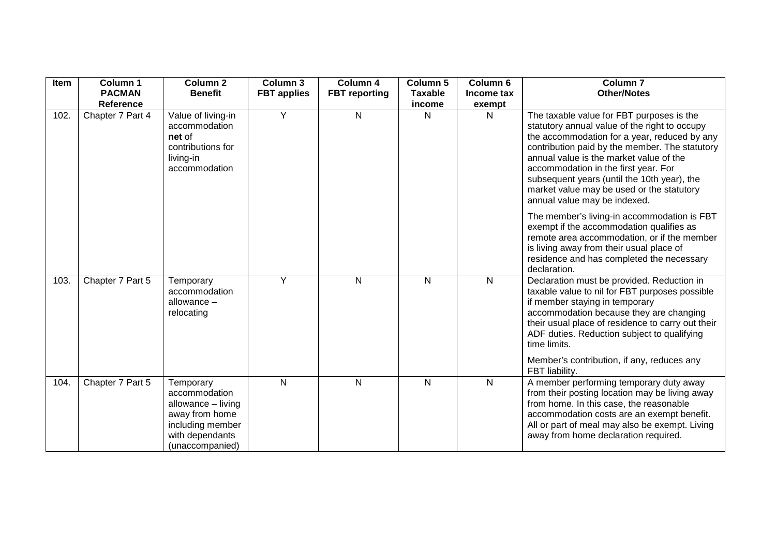| Item | Column 1         | <b>Column 2</b>                                                                                                              | Column <sub>3</sub> | Column 4             | Column <sub>5</sub> | Column 6     | <b>Column 7</b>                                                                                                                                                                                                                                                                                                                                                                                             |
|------|------------------|------------------------------------------------------------------------------------------------------------------------------|---------------------|----------------------|---------------------|--------------|-------------------------------------------------------------------------------------------------------------------------------------------------------------------------------------------------------------------------------------------------------------------------------------------------------------------------------------------------------------------------------------------------------------|
|      | <b>PACMAN</b>    | <b>Benefit</b>                                                                                                               | <b>FBT</b> applies  | <b>FBT</b> reporting | <b>Taxable</b>      | Income tax   | <b>Other/Notes</b>                                                                                                                                                                                                                                                                                                                                                                                          |
|      | <b>Reference</b> |                                                                                                                              |                     |                      | income              | exempt       |                                                                                                                                                                                                                                                                                                                                                                                                             |
| 102. | Chapter 7 Part 4 | Value of living-in<br>accommodation<br>net of<br>contributions for<br>living-in<br>accommodation                             | Y                   | N                    | N                   | N            | The taxable value for FBT purposes is the<br>statutory annual value of the right to occupy<br>the accommodation for a year, reduced by any<br>contribution paid by the member. The statutory<br>annual value is the market value of the<br>accommodation in the first year. For<br>subsequent years (until the 10th year), the<br>market value may be used or the statutory<br>annual value may be indexed. |
|      |                  |                                                                                                                              |                     |                      |                     |              | The member's living-in accommodation is FBT<br>exempt if the accommodation qualifies as<br>remote area accommodation, or if the member<br>is living away from their usual place of<br>residence and has completed the necessary<br>declaration.                                                                                                                                                             |
| 103. | Chapter 7 Part 5 | Temporary<br>accommodation<br>allowance $-$<br>relocating                                                                    | Y                   | N                    | $\mathsf{N}$        | $\mathsf{N}$ | Declaration must be provided. Reduction in<br>taxable value to nil for FBT purposes possible<br>if member staying in temporary<br>accommodation because they are changing<br>their usual place of residence to carry out their<br>ADF duties. Reduction subject to qualifying<br>time limits.<br>Member's contribution, if any, reduces any                                                                 |
| 104. | Chapter 7 Part 5 | Temporary<br>accommodation<br>allowance - living<br>away from home<br>including member<br>with dependants<br>(unaccompanied) | N                   | N                    | $\mathsf{N}$        | $\mathsf{N}$ | FBT liability.<br>A member performing temporary duty away<br>from their posting location may be living away<br>from home. In this case, the reasonable<br>accommodation costs are an exempt benefit.<br>All or part of meal may also be exempt. Living<br>away from home declaration required.                                                                                                              |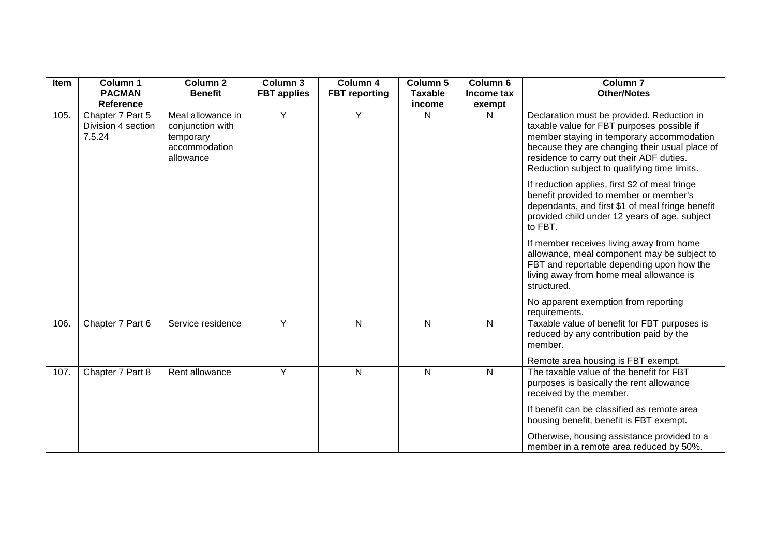| Item | Column 1                                         | <b>Column 2</b>                                                                  | Column 3           | Column 4             | Column 5       | Column 6       | Column <sub>7</sub>                                                                                                                                                                                                                                                                 |
|------|--------------------------------------------------|----------------------------------------------------------------------------------|--------------------|----------------------|----------------|----------------|-------------------------------------------------------------------------------------------------------------------------------------------------------------------------------------------------------------------------------------------------------------------------------------|
|      | <b>PACMAN</b>                                    | <b>Benefit</b>                                                                   | <b>FBT</b> applies | <b>FBT</b> reporting | <b>Taxable</b> | Income tax     | <b>Other/Notes</b>                                                                                                                                                                                                                                                                  |
|      | <b>Reference</b>                                 |                                                                                  |                    |                      | income         | exempt         |                                                                                                                                                                                                                                                                                     |
| 105. | Chapter 7 Part 5<br>Division 4 section<br>7.5.24 | Meal allowance in<br>conjunction with<br>temporary<br>accommodation<br>allowance | Y                  | Y                    | $\mathsf{N}$   | $\mathsf{N}$   | Declaration must be provided. Reduction in<br>taxable value for FBT purposes possible if<br>member staying in temporary accommodation<br>because they are changing their usual place of<br>residence to carry out their ADF duties.<br>Reduction subject to qualifying time limits. |
|      |                                                  |                                                                                  |                    |                      |                |                | If reduction applies, first \$2 of meal fringe<br>benefit provided to member or member's<br>dependants, and first \$1 of meal fringe benefit<br>provided child under 12 years of age, subject<br>to FBT.                                                                            |
|      |                                                  |                                                                                  |                    |                      |                |                | If member receives living away from home<br>allowance, meal component may be subject to<br>FBT and reportable depending upon how the<br>living away from home meal allowance is<br>structured.                                                                                      |
|      |                                                  |                                                                                  |                    |                      |                |                | No apparent exemption from reporting<br>requirements.                                                                                                                                                                                                                               |
| 106. | Chapter 7 Part 6                                 | Service residence                                                                | Y                  | N                    | $\mathsf{N}$   | $\mathsf{N}$   | Taxable value of benefit for FBT purposes is<br>reduced by any contribution paid by the<br>member.                                                                                                                                                                                  |
|      |                                                  |                                                                                  |                    |                      |                |                | Remote area housing is FBT exempt.                                                                                                                                                                                                                                                  |
| 107. | Chapter 7 Part 8                                 | Rent allowance                                                                   | Y                  | N                    | $\mathsf{N}$   | $\overline{N}$ | The taxable value of the benefit for FBT<br>purposes is basically the rent allowance<br>received by the member.                                                                                                                                                                     |
|      |                                                  |                                                                                  |                    |                      |                |                | If benefit can be classified as remote area<br>housing benefit, benefit is FBT exempt.                                                                                                                                                                                              |
|      |                                                  |                                                                                  |                    |                      |                |                | Otherwise, housing assistance provided to a<br>member in a remote area reduced by 50%.                                                                                                                                                                                              |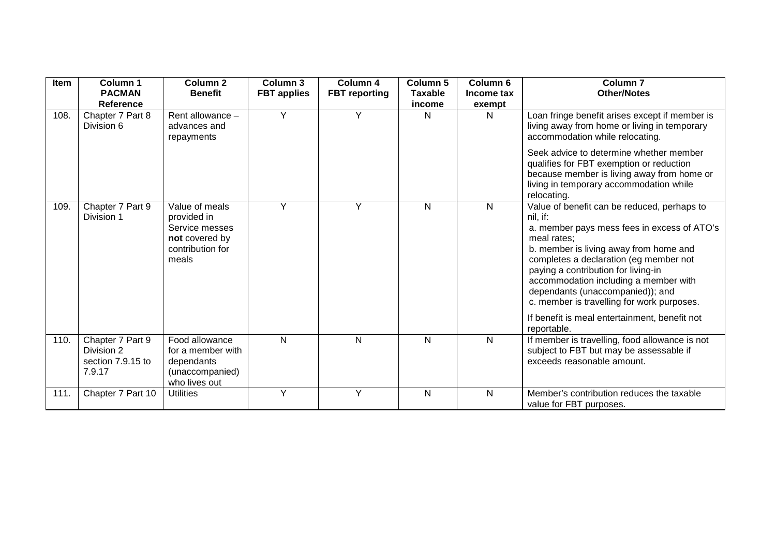| Item | Column 1<br><b>PACMAN</b>                                     | Column <sub>2</sub><br><b>Benefit</b>                                                          | Column 3<br><b>FBT</b> applies | Column 4<br><b>FBT</b> reporting | Column 5<br><b>Taxable</b> | Column 6<br>Income tax | <b>Column 7</b><br><b>Other/Notes</b>                                                                                                                                                                                                                                                                                                                                       |
|------|---------------------------------------------------------------|------------------------------------------------------------------------------------------------|--------------------------------|----------------------------------|----------------------------|------------------------|-----------------------------------------------------------------------------------------------------------------------------------------------------------------------------------------------------------------------------------------------------------------------------------------------------------------------------------------------------------------------------|
|      | Reference                                                     |                                                                                                |                                |                                  | income                     | exempt                 |                                                                                                                                                                                                                                                                                                                                                                             |
| 108. | Chapter 7 Part 8<br>Division 6                                | Rent allowance -<br>advances and<br>repayments                                                 | $\overline{Y}$                 | Y                                | N                          | N                      | Loan fringe benefit arises except if member is<br>living away from home or living in temporary<br>accommodation while relocating.                                                                                                                                                                                                                                           |
|      |                                                               |                                                                                                |                                |                                  |                            |                        | Seek advice to determine whether member<br>qualifies for FBT exemption or reduction<br>because member is living away from home or<br>living in temporary accommodation while<br>relocating.                                                                                                                                                                                 |
| 109. | Chapter 7 Part 9<br>Division 1                                | Value of meals<br>provided in<br>Service messes<br>not covered by<br>contribution for<br>meals | Y                              | Y                                | N                          | N                      | Value of benefit can be reduced, perhaps to<br>nil, if:<br>a. member pays mess fees in excess of ATO's<br>meal rates:<br>b. member is living away from home and<br>completes a declaration (eg member not<br>paying a contribution for living-in<br>accommodation including a member with<br>dependants (unaccompanied)); and<br>c. member is travelling for work purposes. |
|      |                                                               |                                                                                                |                                |                                  |                            |                        | If benefit is meal entertainment, benefit not<br>reportable.                                                                                                                                                                                                                                                                                                                |
| 110. | Chapter 7 Part 9<br>Division 2<br>section 7.9.15 to<br>7.9.17 | Food allowance<br>for a member with<br>dependants<br>(unaccompanied)<br>who lives out          | $\mathsf{N}$                   | $\mathsf{N}$                     | N                          | N                      | If member is travelling, food allowance is not<br>subject to FBT but may be assessable if<br>exceeds reasonable amount.                                                                                                                                                                                                                                                     |
| 111. | Chapter 7 Part 10                                             | <b>Utilities</b>                                                                               | Υ                              | Y                                | N                          | N                      | Member's contribution reduces the taxable<br>value for FBT purposes.                                                                                                                                                                                                                                                                                                        |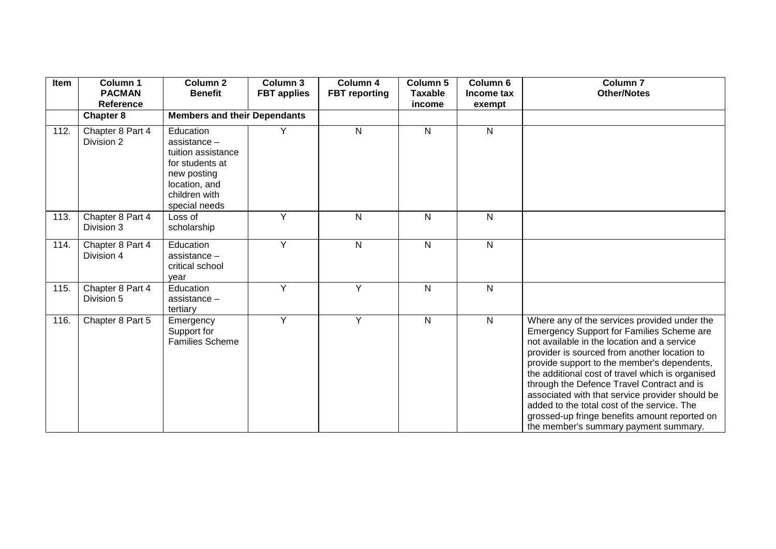| Item | Column 1<br><b>PACMAN</b><br><b>Reference</b> | <b>Column 2</b><br><b>Benefit</b>                                                                                                    | Column 3<br><b>FBT</b> applies | Column 4<br><b>FBT</b> reporting | Column 5<br><b>Taxable</b><br>income | Column 6<br>Income tax<br>exempt | Column <sub>7</sub><br><b>Other/Notes</b>                                                                                                                                                                                                                                                                                                                                                                                                                                                                                             |
|------|-----------------------------------------------|--------------------------------------------------------------------------------------------------------------------------------------|--------------------------------|----------------------------------|--------------------------------------|----------------------------------|---------------------------------------------------------------------------------------------------------------------------------------------------------------------------------------------------------------------------------------------------------------------------------------------------------------------------------------------------------------------------------------------------------------------------------------------------------------------------------------------------------------------------------------|
|      | <b>Chapter 8</b>                              | <b>Members and their Dependants</b>                                                                                                  |                                |                                  |                                      |                                  |                                                                                                                                                                                                                                                                                                                                                                                                                                                                                                                                       |
| 112. | Chapter 8 Part 4<br>Division 2                | Education<br>assistance -<br>tuition assistance<br>for students at<br>new posting<br>location, and<br>children with<br>special needs | Y                              | N                                | $\overline{N}$                       | N                                |                                                                                                                                                                                                                                                                                                                                                                                                                                                                                                                                       |
| 113. | Chapter 8 Part 4<br>Division 3                | Loss of<br>scholarship                                                                                                               | Y                              | N                                | N                                    | N                                |                                                                                                                                                                                                                                                                                                                                                                                                                                                                                                                                       |
| 114. | Chapter 8 Part 4<br>Division 4                | Education<br>assistance -<br>critical school<br>year                                                                                 | Y                              | N                                | $\mathsf{N}$                         | N                                |                                                                                                                                                                                                                                                                                                                                                                                                                                                                                                                                       |
| 115. | Chapter 8 Part 4<br>Division 5                | Education<br>$assistance -$<br>tertiary                                                                                              | Y                              | Y                                | $\mathsf{N}$                         | N                                |                                                                                                                                                                                                                                                                                                                                                                                                                                                                                                                                       |
| 116. | Chapter 8 Part 5                              | Emergency<br>Support for<br><b>Families Scheme</b>                                                                                   | Y                              | Y                                | N                                    | N                                | Where any of the services provided under the<br>Emergency Support for Families Scheme are<br>not available in the location and a service<br>provider is sourced from another location to<br>provide support to the member's dependents,<br>the additional cost of travel which is organised<br>through the Defence Travel Contract and is<br>associated with that service provider should be<br>added to the total cost of the service. The<br>grossed-up fringe benefits amount reported on<br>the member's summary payment summary. |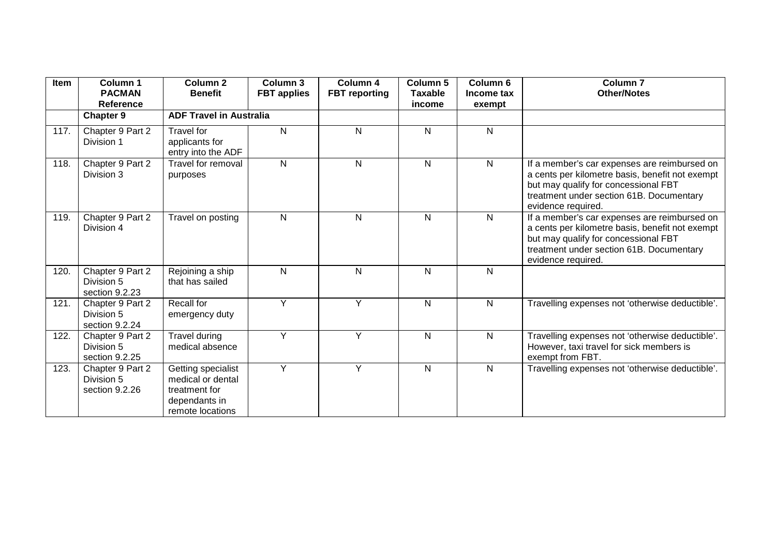| Item | Column 1<br><b>PACMAN</b>                        | Column <sub>2</sub><br><b>Benefit</b>                                                         | Column 3<br><b>FBT</b> applies | Column 4<br><b>FBT</b> reporting | Column 5<br><b>Taxable</b> | Column <sub>6</sub><br>Income tax | Column <sub>7</sub><br><b>Other/Notes</b>                                                                                                                                                                 |
|------|--------------------------------------------------|-----------------------------------------------------------------------------------------------|--------------------------------|----------------------------------|----------------------------|-----------------------------------|-----------------------------------------------------------------------------------------------------------------------------------------------------------------------------------------------------------|
|      | Reference<br><b>Chapter 9</b>                    | <b>ADF Travel in Australia</b>                                                                |                                |                                  | income                     | exempt                            |                                                                                                                                                                                                           |
| 117. | Chapter 9 Part 2<br>Division 1                   | <b>Travel for</b><br>applicants for<br>entry into the ADF                                     | $\mathsf{N}$                   | $\mathsf{N}$                     | N                          | N                                 |                                                                                                                                                                                                           |
| 118. | Chapter 9 Part 2<br>Division 3                   | Travel for removal<br>purposes                                                                | N                              | $\mathsf{N}$                     | $\mathsf{N}$               | N                                 | If a member's car expenses are reimbursed on<br>a cents per kilometre basis, benefit not exempt<br>but may qualify for concessional FBT<br>treatment under section 61B. Documentary<br>evidence required. |
| 119. | Chapter 9 Part 2<br>Division 4                   | Travel on posting                                                                             | $\mathsf{N}$                   | $\mathsf{N}$                     | $\mathsf{N}$               | N                                 | If a member's car expenses are reimbursed on<br>a cents per kilometre basis, benefit not exempt<br>but may qualify for concessional FBT<br>treatment under section 61B. Documentary<br>evidence required. |
| 120. | Chapter 9 Part 2<br>Division 5<br>section 9.2.23 | Rejoining a ship<br>that has sailed                                                           | N                              | N                                | N                          | N                                 |                                                                                                                                                                                                           |
| 121. | Chapter 9 Part 2<br>Division 5<br>section 9.2.24 | Recall for<br>emergency duty                                                                  | Y                              | Y                                | $\mathsf{N}$               | N                                 | Travelling expenses not 'otherwise deductible'.                                                                                                                                                           |
| 122. | Chapter 9 Part 2<br>Division 5<br>section 9.2.25 | <b>Travel during</b><br>medical absence                                                       | Y                              | Y                                | $\mathsf{N}$               | N                                 | Travelling expenses not 'otherwise deductible'.<br>However, taxi travel for sick members is<br>exempt from FBT.                                                                                           |
| 123. | Chapter 9 Part 2<br>Division 5<br>section 9.2.26 | Getting specialist<br>medical or dental<br>treatment for<br>dependants in<br>remote locations | Y                              | Y                                | $\mathsf{N}$               | N                                 | Travelling expenses not 'otherwise deductible'.                                                                                                                                                           |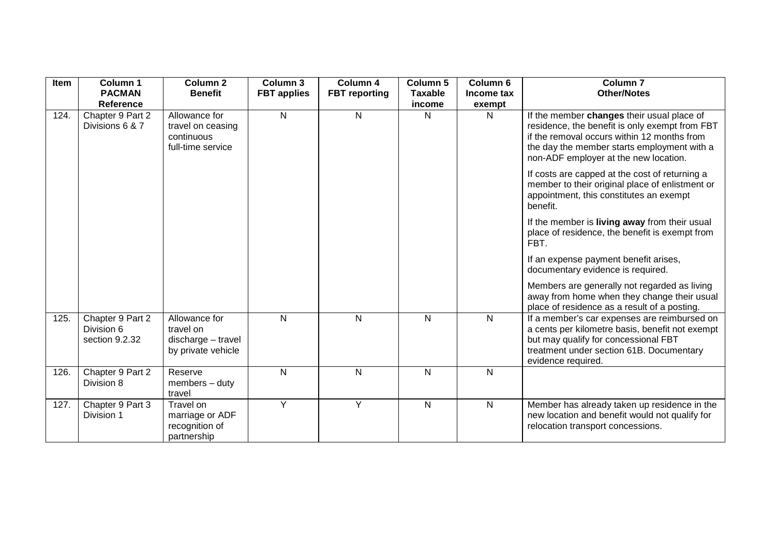| Item | Column 1                                         | Column <sub>2</sub>                                                    | Column 3           | Column 4             | Column 5       | Column 6     | <b>Column 7</b>                                                                                                                                                                                                                     |
|------|--------------------------------------------------|------------------------------------------------------------------------|--------------------|----------------------|----------------|--------------|-------------------------------------------------------------------------------------------------------------------------------------------------------------------------------------------------------------------------------------|
|      | <b>PACMAN</b>                                    | <b>Benefit</b>                                                         | <b>FBT</b> applies | <b>FBT</b> reporting | <b>Taxable</b> | Income tax   | <b>Other/Notes</b>                                                                                                                                                                                                                  |
|      | <b>Reference</b>                                 |                                                                        |                    |                      | income         | exempt       |                                                                                                                                                                                                                                     |
| 124. | Chapter 9 Part 2<br>Divisions 6 & 7              | Allowance for<br>travel on ceasing<br>continuous<br>full-time service  | $\overline{N}$     | N                    | N              | $\mathsf{N}$ | If the member changes their usual place of<br>residence, the benefit is only exempt from FBT<br>if the removal occurs within 12 months from<br>the day the member starts employment with a<br>non-ADF employer at the new location. |
|      |                                                  |                                                                        |                    |                      |                |              | If costs are capped at the cost of returning a<br>member to their original place of enlistment or<br>appointment, this constitutes an exempt<br>benefit.                                                                            |
|      |                                                  |                                                                        |                    |                      |                |              | If the member is living away from their usual<br>place of residence, the benefit is exempt from<br>FBT.                                                                                                                             |
|      |                                                  |                                                                        |                    |                      |                |              | If an expense payment benefit arises,<br>documentary evidence is required.                                                                                                                                                          |
|      |                                                  |                                                                        |                    |                      |                |              | Members are generally not regarded as living<br>away from home when they change their usual<br>place of residence as a result of a posting.                                                                                         |
| 125. | Chapter 9 Part 2<br>Division 6<br>section 9.2.32 | Allowance for<br>travel on<br>discharge - travel<br>by private vehicle | N                  | N                    | N.             | $\mathsf{N}$ | If a member's car expenses are reimbursed on<br>a cents per kilometre basis, benefit not exempt<br>but may qualify for concessional FBT<br>treatment under section 61B. Documentary<br>evidence required.                           |
| 126. | Chapter 9 Part 2<br>Division 8                   | Reserve<br>$members - duty$<br>travel                                  | N                  | N                    | N              | $\mathsf{N}$ |                                                                                                                                                                                                                                     |
| 127. | Chapter 9 Part 3<br>Division 1                   | Travel on<br>marriage or ADF<br>recognition of<br>partnership          | Y                  | Y                    | N              | $\mathsf{N}$ | Member has already taken up residence in the<br>new location and benefit would not qualify for<br>relocation transport concessions.                                                                                                 |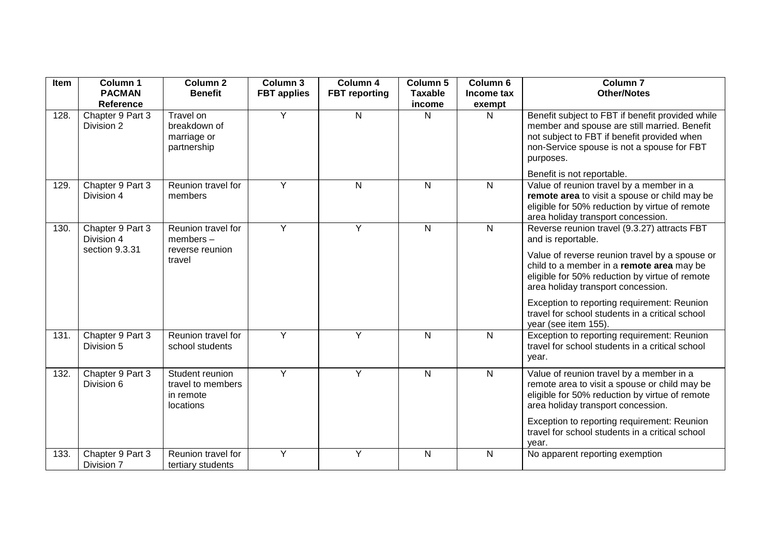| Item | Column 1<br><b>PACMAN</b>      | Column <sub>2</sub><br><b>Benefit</b>                          | Column 3<br><b>FBT</b> applies | Column 4<br><b>FBT</b> reporting | Column 5<br><b>Taxable</b> | Column 6<br>Income tax | <b>Column 7</b><br><b>Other/Notes</b>                                                                                                                                                                                                                                               |
|------|--------------------------------|----------------------------------------------------------------|--------------------------------|----------------------------------|----------------------------|------------------------|-------------------------------------------------------------------------------------------------------------------------------------------------------------------------------------------------------------------------------------------------------------------------------------|
|      | <b>Reference</b>               |                                                                |                                |                                  | income                     | exempt                 |                                                                                                                                                                                                                                                                                     |
| 128. | Chapter 9 Part 3<br>Division 2 | Travel on<br>breakdown of<br>marriage or<br>partnership        | Y                              | N                                | N                          | N                      | Benefit subject to FBT if benefit provided while<br>member and spouse are still married. Benefit<br>not subject to FBT if benefit provided when<br>non-Service spouse is not a spouse for FBT<br>purposes.                                                                          |
|      |                                |                                                                |                                |                                  |                            |                        | Benefit is not reportable.                                                                                                                                                                                                                                                          |
| 129. | Chapter 9 Part 3<br>Division 4 | Reunion travel for<br>members                                  | Y                              | N                                | N                          | N                      | Value of reunion travel by a member in a<br>remote area to visit a spouse or child may be<br>eligible for 50% reduction by virtue of remote<br>area holiday transport concession.                                                                                                   |
| 130. | Chapter 9 Part 3<br>Division 4 | Reunion travel for<br>$members -$                              | Y                              | Y                                | $\mathsf{N}$               | $\overline{N}$         | Reverse reunion travel (9.3.27) attracts FBT<br>and is reportable.                                                                                                                                                                                                                  |
|      | section 9.3.31                 | reverse reunion<br>travel                                      |                                |                                  |                            |                        | Value of reverse reunion travel by a spouse or<br>child to a member in a remote area may be<br>eligible for 50% reduction by virtue of remote<br>area holiday transport concession.                                                                                                 |
|      |                                |                                                                |                                |                                  |                            |                        | Exception to reporting requirement: Reunion<br>travel for school students in a critical school<br>year (see item 155).                                                                                                                                                              |
| 131. | Chapter 9 Part 3<br>Division 5 | Reunion travel for<br>school students                          | Y                              | Υ                                | $\mathsf{N}$               | $\mathsf{N}$           | Exception to reporting requirement: Reunion<br>travel for school students in a critical school<br>year.                                                                                                                                                                             |
| 132. | Chapter 9 Part 3<br>Division 6 | Student reunion<br>travel to members<br>in remote<br>locations | Y                              | Υ                                | N                          | $\mathsf{N}$           | Value of reunion travel by a member in a<br>remote area to visit a spouse or child may be<br>eligible for 50% reduction by virtue of remote<br>area holiday transport concession.<br>Exception to reporting requirement: Reunion<br>travel for school students in a critical school |
| 133. | Chapter 9 Part 3               | Reunion travel for                                             | Y                              | Y                                | $\mathsf{N}$               | N                      | vear.<br>No apparent reporting exemption                                                                                                                                                                                                                                            |
|      | Division 7                     | tertiary students                                              |                                |                                  |                            |                        |                                                                                                                                                                                                                                                                                     |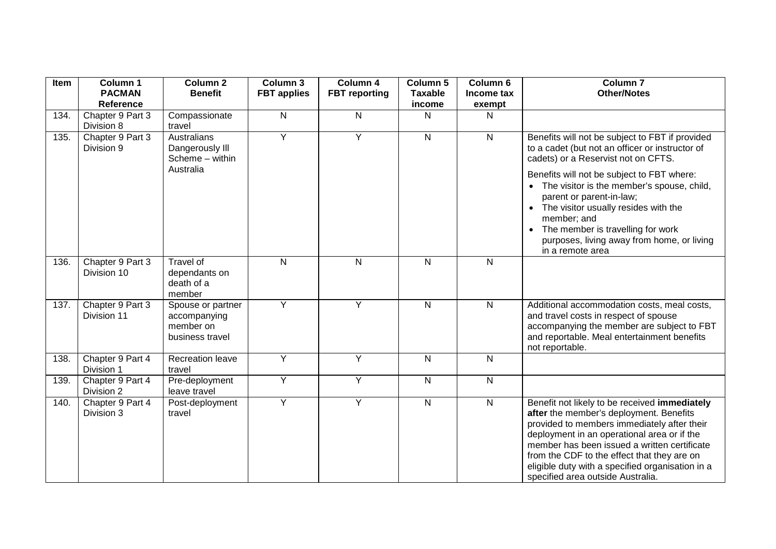| Item | Column 1<br><b>PACMAN</b><br><b>Reference</b> | Column <sub>2</sub><br><b>Benefit</b>                             | Column 3<br><b>FBT</b> applies | Column 4<br><b>FBT</b> reporting | Column 5<br><b>Taxable</b><br>income | Column 6<br>Income tax<br>exempt | Column <sub>7</sub><br><b>Other/Notes</b>                                                                                                                                                                                                                                                                                                                                      |
|------|-----------------------------------------------|-------------------------------------------------------------------|--------------------------------|----------------------------------|--------------------------------------|----------------------------------|--------------------------------------------------------------------------------------------------------------------------------------------------------------------------------------------------------------------------------------------------------------------------------------------------------------------------------------------------------------------------------|
| 134. | Chapter 9 Part 3<br>Division 8                | Compassionate<br>travel                                           | N                              | N                                | N                                    | N                                |                                                                                                                                                                                                                                                                                                                                                                                |
| 135. | Chapter 9 Part 3<br>Division 9                | Australians<br>Dangerously III<br>Scheme - within<br>Australia    | Y                              | Y                                | $\mathsf{N}$                         | $\mathsf{N}$                     | Benefits will not be subject to FBT if provided<br>to a cadet (but not an officer or instructor of<br>cadets) or a Reservist not on CFTS.                                                                                                                                                                                                                                      |
|      |                                               |                                                                   |                                |                                  |                                      |                                  | Benefits will not be subject to FBT where:<br>• The visitor is the member's spouse, child,<br>parent or parent-in-law;<br>• The visitor usually resides with the<br>member; and                                                                                                                                                                                                |
|      |                                               |                                                                   |                                |                                  |                                      |                                  | • The member is travelling for work<br>purposes, living away from home, or living<br>in a remote area                                                                                                                                                                                                                                                                          |
| 136. | Chapter 9 Part 3<br>Division 10               | Travel of<br>dependants on<br>death of a<br>member                | $\mathsf{N}$                   | $\mathsf{N}$                     | $\mathsf{N}$                         | $\mathsf{N}$                     |                                                                                                                                                                                                                                                                                                                                                                                |
| 137. | Chapter 9 Part 3<br>Division 11               | Spouse or partner<br>accompanying<br>member on<br>business travel | $\overline{Y}$                 | Y                                | $\mathsf{N}$                         | $\overline{N}$                   | Additional accommodation costs, meal costs,<br>and travel costs in respect of spouse<br>accompanying the member are subject to FBT<br>and reportable. Meal entertainment benefits<br>not reportable.                                                                                                                                                                           |
| 138. | Chapter 9 Part 4<br>Division 1                | Recreation leave<br>travel                                        | Y                              | Υ                                | ${\sf N}$                            | $\mathsf{N}$                     |                                                                                                                                                                                                                                                                                                                                                                                |
| 139. | Chapter 9 Part 4<br>Division 2                | Pre-deployment<br>leave travel                                    | Y                              | Υ                                | ${\sf N}$                            | ${\sf N}$                        |                                                                                                                                                                                                                                                                                                                                                                                |
| 140. | Chapter 9 Part 4<br>Division 3                | Post-deployment<br>travel                                         | Y                              | Y                                | $\overline{N}$                       | $\overline{N}$                   | Benefit not likely to be received immediately<br>after the member's deployment. Benefits<br>provided to members immediately after their<br>deployment in an operational area or if the<br>member has been issued a written certificate<br>from the CDF to the effect that they are on<br>eligible duty with a specified organisation in a<br>specified area outside Australia. |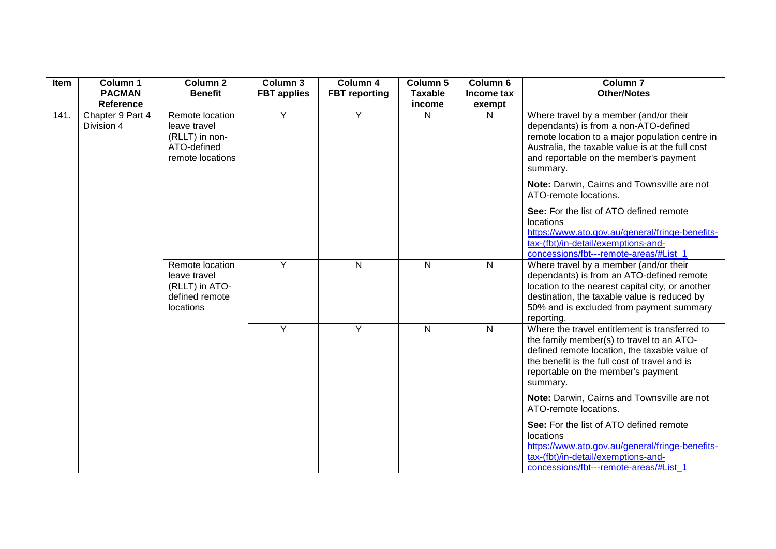| Item | Column 1                       | <b>Column 2</b>                                                                      | Column 3           | Column 4             | Column 5       | Column 6     | <b>Column 7</b>                                                                                                                                                                                                                                   |
|------|--------------------------------|--------------------------------------------------------------------------------------|--------------------|----------------------|----------------|--------------|---------------------------------------------------------------------------------------------------------------------------------------------------------------------------------------------------------------------------------------------------|
|      | <b>PACMAN</b>                  | <b>Benefit</b>                                                                       | <b>FBT</b> applies | <b>FBT</b> reporting | <b>Taxable</b> | Income tax   | <b>Other/Notes</b>                                                                                                                                                                                                                                |
|      | Reference                      |                                                                                      |                    |                      | income         | exempt       |                                                                                                                                                                                                                                                   |
| 141. | Chapter 9 Part 4<br>Division 4 | Remote location<br>leave travel<br>(RLLT) in non-<br>ATO-defined<br>remote locations | Y                  | Y                    | N              | N            | Where travel by a member (and/or their<br>dependants) is from a non-ATO-defined<br>remote location to a major population centre in<br>Australia, the taxable value is at the full cost<br>and reportable on the member's payment<br>summary.      |
|      |                                |                                                                                      |                    |                      |                |              | Note: Darwin, Cairns and Townsville are not<br>ATO-remote locations.                                                                                                                                                                              |
|      |                                |                                                                                      |                    |                      |                |              | See: For the list of ATO defined remote<br>locations<br>https://www.ato.gov.au/general/fringe-benefits-<br>tax-(fbt)/in-detail/exemptions-and-<br>concessions/fbt---remote-areas/#List 1                                                          |
|      |                                | Remote location<br>leave travel<br>(RLLT) in ATO-<br>defined remote<br>locations     | Y                  | $\mathsf{N}$         | $\overline{N}$ | N            | Where travel by a member (and/or their<br>dependants) is from an ATO-defined remote<br>location to the nearest capital city, or another<br>destination, the taxable value is reduced by<br>50% and is excluded from payment summary<br>reporting. |
|      |                                |                                                                                      | Y                  | Y                    | $\overline{N}$ | $\mathsf{N}$ | Where the travel entitlement is transferred to<br>the family member(s) to travel to an ATO-<br>defined remote location, the taxable value of<br>the benefit is the full cost of travel and is<br>reportable on the member's payment<br>summary.   |
|      |                                |                                                                                      |                    |                      |                |              | Note: Darwin, Cairns and Townsville are not<br>ATO-remote locations.                                                                                                                                                                              |
|      |                                |                                                                                      |                    |                      |                |              | See: For the list of ATO defined remote<br>locations<br>https://www.ato.gov.au/general/fringe-benefits-<br>tax-(fbt)/in-detail/exemptions-and-<br>concessions/fbt---remote-areas/#List 1                                                          |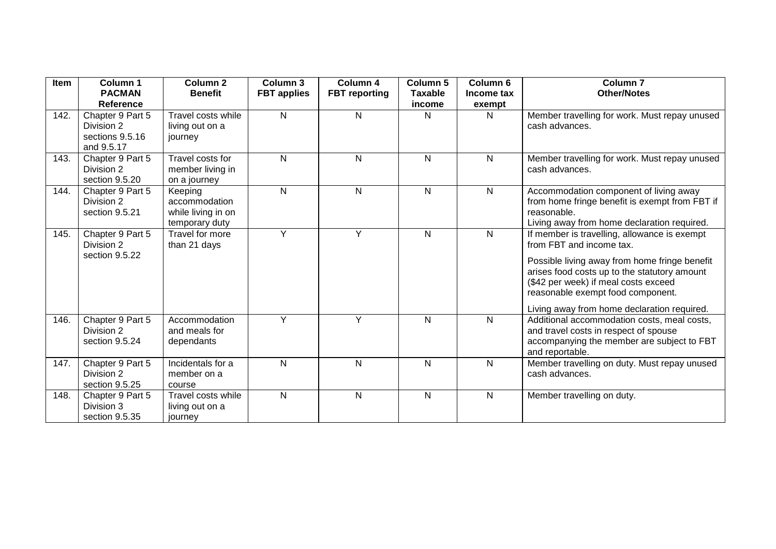| Item | Column 1<br><b>PACMAN</b><br>Reference                          | <b>Column 2</b><br><b>Benefit</b>                                | Column 3<br><b>FBT</b> applies | Column 4<br><b>FBT</b> reporting | Column 5<br><b>Taxable</b><br>income | Column 6<br>Income tax | Column <sub>7</sub><br><b>Other/Notes</b>                                                                                                                                                                                                                                                             |
|------|-----------------------------------------------------------------|------------------------------------------------------------------|--------------------------------|----------------------------------|--------------------------------------|------------------------|-------------------------------------------------------------------------------------------------------------------------------------------------------------------------------------------------------------------------------------------------------------------------------------------------------|
| 142. | Chapter 9 Part 5<br>Division 2<br>sections 9.5.16<br>and 9.5.17 | Travel costs while<br>living out on a<br>journey                 | N                              | N                                | N                                    | exempt<br>N            | Member travelling for work. Must repay unused<br>cash advances.                                                                                                                                                                                                                                       |
| 143. | Chapter 9 Part 5<br>Division 2<br>section 9.5.20                | Travel costs for<br>member living in<br>on a journey             | N                              | N                                | N                                    | N                      | Member travelling for work. Must repay unused<br>cash advances.                                                                                                                                                                                                                                       |
| 144. | Chapter 9 Part 5<br>Division 2<br>section 9.5.21                | Keeping<br>accommodation<br>while living in on<br>temporary duty | N                              | $\mathsf{N}$                     | $\mathsf{N}$                         | N                      | Accommodation component of living away<br>from home fringe benefit is exempt from FBT if<br>reasonable.<br>Living away from home declaration required.                                                                                                                                                |
| 145. | Chapter 9 Part 5<br>Division 2<br>section 9.5.22                | Travel for more<br>than 21 days                                  | Y                              | Y                                | $\mathsf{N}$                         | N                      | If member is travelling, allowance is exempt<br>from FBT and income tax.<br>Possible living away from home fringe benefit<br>arises food costs up to the statutory amount<br>(\$42 per week) if meal costs exceed<br>reasonable exempt food component.<br>Living away from home declaration required. |
| 146. | Chapter 9 Part 5<br>Division 2<br>section 9.5.24                | Accommodation<br>and meals for<br>dependants                     | Y                              | Y                                | $\mathsf{N}$                         | $\mathsf{N}$           | Additional accommodation costs, meal costs,<br>and travel costs in respect of spouse<br>accompanying the member are subject to FBT<br>and reportable.                                                                                                                                                 |
| 147. | Chapter 9 Part 5<br>Division 2<br>section 9.5.25                | Incidentals for a<br>member on a<br>course                       | N                              | $\mathsf{N}$                     | $\mathsf{N}$                         | N                      | Member travelling on duty. Must repay unused<br>cash advances.                                                                                                                                                                                                                                        |
| 148. | Chapter 9 Part 5<br>Division 3<br>section 9.5.35                | Travel costs while<br>living out on a<br>journey                 | N                              | $\mathsf{N}$                     | $\mathsf{N}$                         | N                      | Member travelling on duty.                                                                                                                                                                                                                                                                            |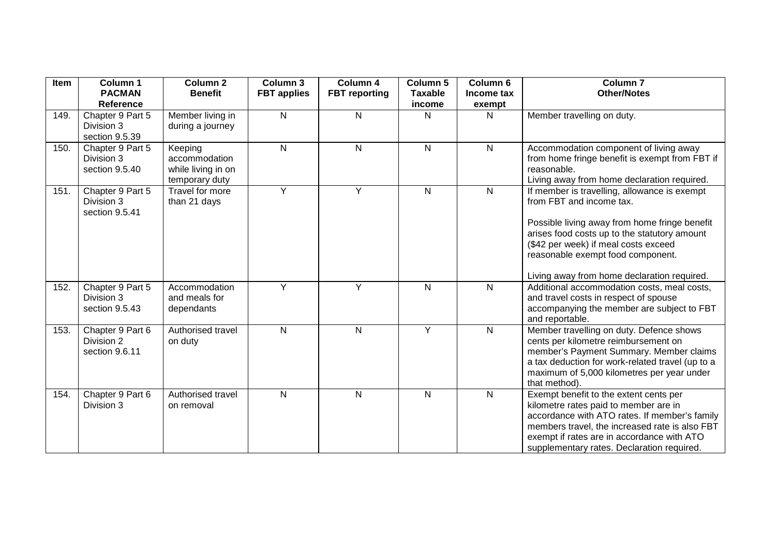| Item | Column 1<br><b>PACMAN</b>                                            | <b>Column 2</b><br><b>Benefit</b>                                | <b>Column 3</b><br><b>FBT</b> applies | Column 4<br><b>FBT</b> reporting | Column 5<br><b>Taxable</b> | Column 6<br>Income tax | Column <sub>7</sub><br><b>Other/Notes</b>                                                                                                                                                                                                                                                             |
|------|----------------------------------------------------------------------|------------------------------------------------------------------|---------------------------------------|----------------------------------|----------------------------|------------------------|-------------------------------------------------------------------------------------------------------------------------------------------------------------------------------------------------------------------------------------------------------------------------------------------------------|
| 149. | <b>Reference</b><br>Chapter 9 Part 5<br>Division 3<br>section 9.5.39 | Member living in<br>during a journey                             | $\mathsf{N}$                          | N                                | income<br>N                | exempt<br>Ν            | Member travelling on duty.                                                                                                                                                                                                                                                                            |
| 150. | Chapter 9 Part 5<br>Division 3<br>section 9.5.40                     | Keeping<br>accommodation<br>while living in on<br>temporary duty | ${\sf N}$                             | $\mathsf{N}$                     | N                          | N                      | Accommodation component of living away<br>from home fringe benefit is exempt from FBT if<br>reasonable.<br>Living away from home declaration required.                                                                                                                                                |
| 151. | Chapter 9 Part 5<br>Division 3<br>section 9.5.41                     | Travel for more<br>than 21 days                                  | Y                                     | $\overline{Y}$                   | N                          | $\mathsf{N}$           | If member is travelling, allowance is exempt<br>from FBT and income tax.<br>Possible living away from home fringe benefit<br>arises food costs up to the statutory amount<br>(\$42 per week) if meal costs exceed<br>reasonable exempt food component.<br>Living away from home declaration required. |
| 152. | Chapter 9 Part 5<br>Division 3<br>section 9.5.43                     | Accommodation<br>and meals for<br>dependants                     | Y                                     | Y                                | N                          | N                      | Additional accommodation costs, meal costs,<br>and travel costs in respect of spouse<br>accompanying the member are subject to FBT<br>and reportable.                                                                                                                                                 |
| 153. | Chapter 9 Part 6<br>Division 2<br>section 9.6.11                     | Authorised travel<br>on duty                                     | ${\sf N}$                             | $\mathsf{N}$                     | Υ                          | $\mathsf{N}$           | Member travelling on duty. Defence shows<br>cents per kilometre reimbursement on<br>member's Payment Summary. Member claims<br>a tax deduction for work-related travel (up to a<br>maximum of 5,000 kilometres per year under<br>that method).                                                        |
| 154. | Chapter 9 Part 6<br>Division 3                                       | Authorised travel<br>on removal                                  | ${\sf N}$                             | $\mathsf{N}$                     | N                          | $\mathsf{N}$           | Exempt benefit to the extent cents per<br>kilometre rates paid to member are in<br>accordance with ATO rates. If member's family<br>members travel, the increased rate is also FBT<br>exempt if rates are in accordance with ATO<br>supplementary rates. Declaration required.                        |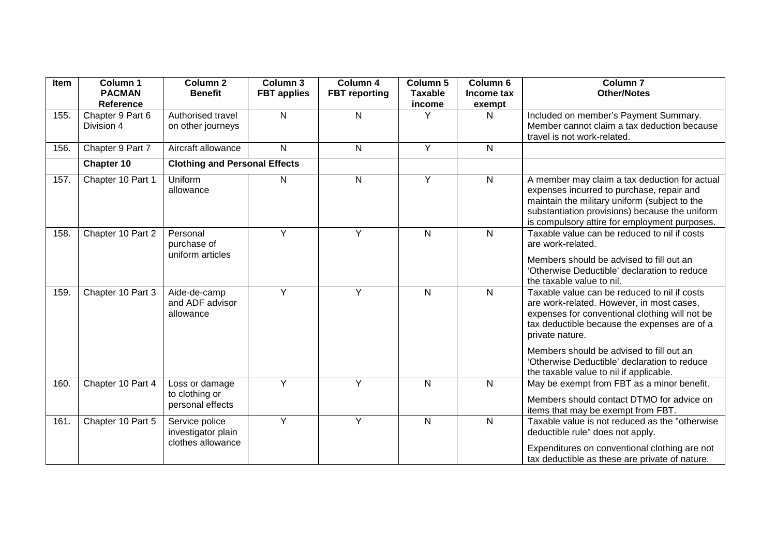| Item | Column 1          | Column <sub>2</sub>                  | Column 3           | Column 4             | Column 5       | Column 6     | <b>Column 7</b>                                 |
|------|-------------------|--------------------------------------|--------------------|----------------------|----------------|--------------|-------------------------------------------------|
|      | <b>PACMAN</b>     | <b>Benefit</b>                       | <b>FBT</b> applies | <b>FBT</b> reporting | <b>Taxable</b> | Income tax   | <b>Other/Notes</b>                              |
|      | Reference         |                                      |                    |                      | income         | exempt       |                                                 |
| 155. | Chapter 9 Part 6  | Authorised travel                    | $\mathsf{N}$       | N                    | Y              | N            | Included on member's Payment Summary.           |
|      | Division 4        | on other journeys                    |                    |                      |                |              | Member cannot claim a tax deduction because     |
|      |                   |                                      |                    |                      |                |              | travel is not work-related.                     |
| 156. | Chapter 9 Part 7  | Aircraft allowance                   | N                  | N                    | $\overline{Y}$ | N            |                                                 |
|      | Chapter 10        | <b>Clothing and Personal Effects</b> |                    |                      |                |              |                                                 |
| 157. | Chapter 10 Part 1 | Uniform                              | N                  | N                    | Y              | N            | A member may claim a tax deduction for actual   |
|      |                   | allowance                            |                    |                      |                |              | expenses incurred to purchase, repair and       |
|      |                   |                                      |                    |                      |                |              | maintain the military uniform (subject to the   |
|      |                   |                                      |                    |                      |                |              | substantiation provisions) because the uniform  |
|      |                   |                                      |                    |                      |                |              | is compulsory attire for employment purposes.   |
| 158. | Chapter 10 Part 2 | Personal                             | Y                  | Y                    | $\mathsf{N}$   | N            | Taxable value can be reduced to nil if costs    |
|      |                   | purchase of                          |                    |                      |                |              | are work-related.                               |
|      |                   | uniform articles                     |                    |                      |                |              | Members should be advised to fill out an        |
|      |                   |                                      |                    |                      |                |              | 'Otherwise Deductible' declaration to reduce    |
|      |                   |                                      |                    |                      |                |              | the taxable value to nil.                       |
| 159. | Chapter 10 Part 3 | Aide-de-camp                         | Y                  | Y                    | $\mathsf{N}$   | N            | Taxable value can be reduced to nil if costs    |
|      |                   | and ADF advisor                      |                    |                      |                |              | are work-related. However, in most cases,       |
|      |                   | allowance                            |                    |                      |                |              | expenses for conventional clothing will not be  |
|      |                   |                                      |                    |                      |                |              | tax deductible because the expenses are of a    |
|      |                   |                                      |                    |                      |                |              | private nature.                                 |
|      |                   |                                      |                    |                      |                |              | Members should be advised to fill out an        |
|      |                   |                                      |                    |                      |                |              | 'Otherwise Deductible' declaration to reduce    |
|      |                   |                                      |                    |                      |                |              | the taxable value to nil if applicable.         |
| 160. | Chapter 10 Part 4 | Loss or damage                       | Y                  | Y                    | $\mathsf{N}$   | N            | May be exempt from FBT as a minor benefit.      |
|      |                   | to clothing or                       |                    |                      |                |              | Members should contact DTMO for advice on       |
|      |                   | personal effects                     |                    |                      |                |              | items that may be exempt from FBT.              |
| 161. | Chapter 10 Part 5 | Service police                       | Y                  | Y                    | $\mathsf{N}$   | $\mathsf{N}$ | Taxable value is not reduced as the "otherwise" |
|      |                   | investigator plain                   |                    |                      |                |              | deductible rule" does not apply.                |
|      |                   | clothes allowance                    |                    |                      |                |              | Expenditures on conventional clothing are not   |
|      |                   |                                      |                    |                      |                |              | tax deductible as these are private of nature.  |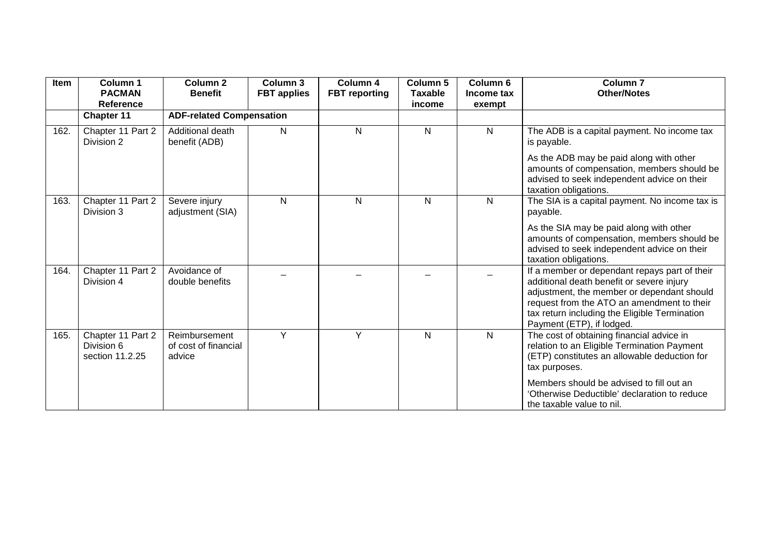| Item | Column 1<br><b>PACMAN</b><br>Reference             | <b>Column 2</b><br><b>Benefit</b>               | Column 3<br><b>FBT</b> applies | Column 4<br><b>FBT</b> reporting | Column 5<br><b>Taxable</b><br>income | Column 6<br>Income tax<br>exempt | <b>Column 7</b><br><b>Other/Notes</b>                                                                                                                                                                                                                                |
|------|----------------------------------------------------|-------------------------------------------------|--------------------------------|----------------------------------|--------------------------------------|----------------------------------|----------------------------------------------------------------------------------------------------------------------------------------------------------------------------------------------------------------------------------------------------------------------|
|      | <b>Chapter 11</b>                                  | <b>ADF-related Compensation</b>                 |                                |                                  |                                      |                                  |                                                                                                                                                                                                                                                                      |
| 162. | Chapter 11 Part 2<br>Division 2                    | Additional death<br>benefit (ADB)               | N                              | N                                | N                                    | N                                | The ADB is a capital payment. No income tax<br>is payable.                                                                                                                                                                                                           |
|      |                                                    |                                                 |                                |                                  |                                      |                                  | As the ADB may be paid along with other<br>amounts of compensation, members should be<br>advised to seek independent advice on their<br>taxation obligations.                                                                                                        |
| 163. | Chapter 11 Part 2<br>Division 3                    | Severe injury<br>adjustment (SIA)               | $\mathsf{N}$                   | N                                | N                                    | N                                | The SIA is a capital payment. No income tax is<br>payable.                                                                                                                                                                                                           |
|      |                                                    |                                                 |                                |                                  |                                      |                                  | As the SIA may be paid along with other<br>amounts of compensation, members should be<br>advised to seek independent advice on their<br>taxation obligations.                                                                                                        |
| 164. | Chapter 11 Part 2<br>Division 4                    | Avoidance of<br>double benefits                 |                                |                                  |                                      |                                  | If a member or dependant repays part of their<br>additional death benefit or severe injury<br>adjustment, the member or dependant should<br>request from the ATO an amendment to their<br>tax return including the Eligible Termination<br>Payment (ETP), if lodged. |
| 165. | Chapter 11 Part 2<br>Division 6<br>section 11.2.25 | Reimbursement<br>of cost of financial<br>advice | Y                              | Y                                | N                                    | N                                | The cost of obtaining financial advice in<br>relation to an Eligible Termination Payment<br>(ETP) constitutes an allowable deduction for<br>tax purposes.                                                                                                            |
|      |                                                    |                                                 |                                |                                  |                                      |                                  | Members should be advised to fill out an<br>'Otherwise Deductible' declaration to reduce<br>the taxable value to nil.                                                                                                                                                |